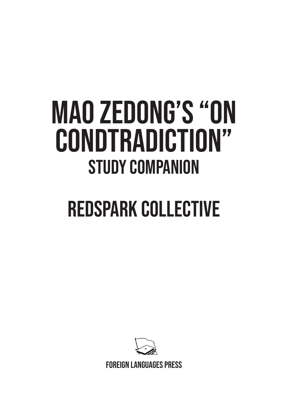# Mao zedong's "On CONDTRADICTION" study companion

# RedSpark collective



Foreign Languages Press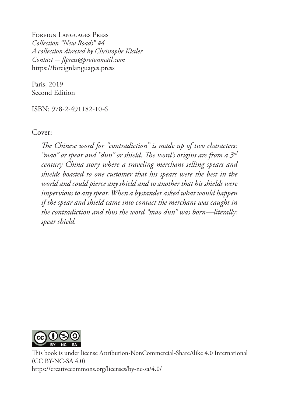ForeiGN LaNGUaGes Press *Collection "New Roads" #4 A collection directed by Christophe Kistler Contact - fl press@protonmail.com* https://foreignlanguages.press

Paris, 2019 Second Edition

ISBN: 978-2-491182-10-6

Cover:

*The Chinese word for "contradiction" is made up of two characters:* "mao" or spear and "dun" or shield. The word's origins are from a 3<sup>rd</sup> *century China story where a traveling merchant selling spears and shields boasted to one customer that his spears were the best in the world and could pierce any shield and to another that his shields were impervious to any spear. When a bystander asked what would happen if the spear and shield came into contact the merchant was caught in the contradiction and thus the word "mao dun" was born—literally: spear shield.*



Th is book is under license Attribution-NonCommercial-ShareAlike 4.0 International (CC BY-NC-SA 4.0) https://creativecommons.org/licenses/by-nc-sa/4.0/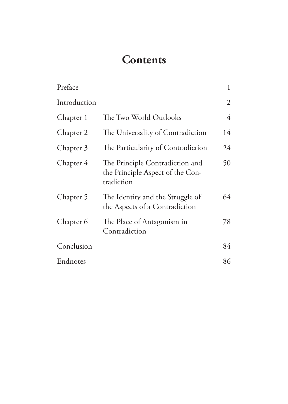### **Contents**

| Preface      |                                                                                   | 1  |
|--------------|-----------------------------------------------------------------------------------|----|
| Introduction |                                                                                   | 2  |
| Chapter 1    | The Two World Outlooks                                                            | 4  |
| Chapter 2    | The Universality of Contradiction                                                 | 14 |
| Chapter 3    | The Particularity of Contradiction                                                | 24 |
| Chapter 4    | The Principle Contradiction and<br>the Principle Aspect of the Con-<br>tradiction | 50 |
| Chapter 5    | The Identity and the Struggle of<br>the Aspects of a Contradiction                | 64 |
| Chapter 6    | The Place of Antagonism in<br>Contradiction                                       | 78 |
| Conclusion   |                                                                                   | 84 |
| Endnotes     |                                                                                   | 86 |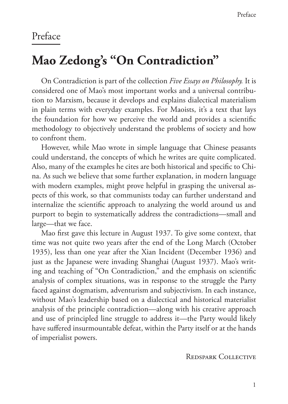#### Preface

## **Mao Zedong's "On Contradiction"**

On Contradiction is part of the collection *Five Essays on Philosophy.* It is considered one of Mao's most important works and a universal contribution to Marxism, because it develops and explains dialectical materialism in plain terms with everyday examples. For Maoists, it's a text that lays the foundation for how we perceive the world and provides a scientific methodology to objectively understand the problems of society and how to confront them.

However, while Mao wrote in simple language that Chinese peasants could understand, the concepts of which he writes are quite complicated. Also, many of the examples he cites are both historical and specific to China. As such we believe that some further explanation, in modern language with modern examples, might prove helpful in grasping the universal aspects of this work, so that communists today can further understand and internalize the scientific approach to analyzing the world around us and purport to begin to systematically address the contradictions—small and large—that we face.

Mao first gave this lecture in August 1937. To give some context, that time was not quite two years after the end of the Long March (October 1935), less than one year after the Xian Incident (December 1936) and just as the Japanese were invading Shanghai (August 1937). Mao's writing and teaching of "On Contradiction," and the emphasis on scientific analysis of complex situations, was in response to the struggle the Party faced against dogmatism, adventurism and subjectivism. In each instance, without Mao's leadership based on a dialectical and historical materialist analysis of the principle contradiction—along with his creative approach and use of principled line struggle to address it—the Party would likely have suffered insurmountable defeat, within the Party itself or at the hands of imperialist powers.

Redspark Collective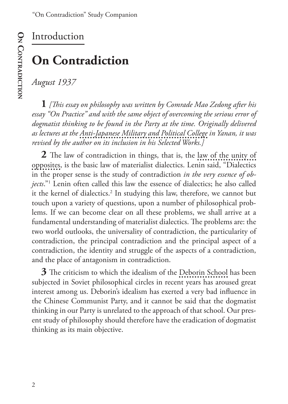## **On Contradiction**

*August 1937*

**1** *[This essay on philosophy was written by Comrade Mao Zedong after his essay "On Practice" and with the same object of overcoming the serious error of dogmatist thinking to be found in the Party at the time. Originally delivered as lectures at the Anti-Japanese Military and Political College in Yanan, it was revised by the author on its inclusion in his Selected Works.]*

**2** The law of contradiction in things, that is, the law of the unity of opposites, is the basic law of materialist dialectics. Lenin said, "Dialectics in the proper sense is the study of contradiction *in the very essence of objects*."1 Lenin often called this law the essence of dialectics; he also called it the kernel of dialectics.2 In studying this law, therefore, we cannot but touch upon a variety of questions, upon a number of philosophical problems. If we can become clear on all these problems, we shall arrive at a fundamental understanding of materialist dialectics. The problems are: the two world outlooks, the universality of contradiction, the particularity of contradiction, the principal contradiction and the principal aspect of a contradiction, the identity and struggle of the aspects of a contradiction, and the place of antagonism in contradiction.

**3** The criticism to which the idealism of the Deborin School has been subjected in Soviet philosophical circles in recent years has aroused great interest among us. Deborin's idealism has exerted a very bad influence in the Chinese Communist Party, and it cannot be said that the dogmatist thinking in our Party is unrelated to the approach of that school. Our present study of philosophy should therefore have the eradication of dogmatist thinking as its main objective.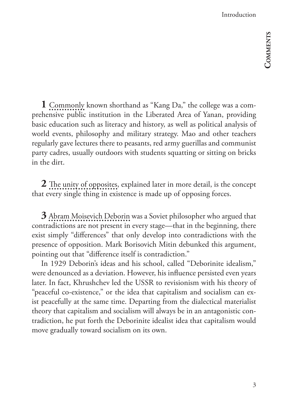**1** Commonly known shorthand as "Kang Da," the college was a comprehensive public institution in the Liberated Area of Yanan, providing basic education such as literacy and history, as well as political analysis of world events, philosophy and military strategy. Mao and other teachers regularly gave lectures there to peasants, red army guerillas and communist party cadres, usually outdoors with students squatting or sitting on bricks in the dirt.

**2** The unity of opposites, explained later in more detail, is the concept that every single thing in existence is made up of opposing forces.

**3** Abram Moisevich Deborin was a Soviet philosopher who argued that contradictions are not present in every stage—that in the beginning, there exist simply "differences" that only develop into contradictions with the presence of opposition. Mark Borisovich Mitin debunked this argument, pointing out that "difference itself is contradiction."

In 1929 Deborin's ideas and his school, called "Deborinite idealism," were denounced as a deviation. However, his influence persisted even years later. In fact, Khrushchev led the USSR to revisionism with his theory of "peaceful co-existence," or the idea that capitalism and socialism can exist peacefully at the same time. Departing from the dialectical materialist theory that capitalism and socialism will always be in an antagonistic contradiction, he put forth the Deborinite idealist idea that capitalism would move gradually toward socialism on its own.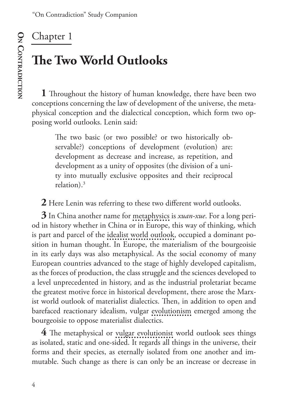# **The Two World Outlooks**

**1** Throughout the history of human knowledge, there have been two conceptions concerning the law of development of the universe, the metaphysical conception and the dialectical conception, which form two opposing world outlooks. Lenin said:

> The two basic (or two possible? or two historically observable?) conceptions of development (evolution) are: development as decrease and increase, as repetition, and development as a unity of opposites (the division of a unity into mutually exclusive opposites and their reciprocal relation).<sup>3</sup>

**2** Here Lenin was referring to these two different world outlooks.

**3** In China another name for metaphysics is *xuan-xue*. For a long period in history whether in China or in Europe, this way of thinking, which is part and parcel of the idealist world outlook, occupied a dominant position in human thought. In Europe, the materialism of the bourgeoisie in its early days was also metaphysical. As the social economy of many European countries advanced to the stage of highly developed capitalism, as the forces of production, the class struggle and the sciences developed to a level unprecedented in history, and as the industrial proletariat became the greatest motive force in historical development, there arose the Marxist world outlook of materialist dialectics. Then, in addition to open and barefaced reactionary idealism, vulgar evolutionism emerged among the bourgeoisie to oppose materialist dialectics.

**4** The metaphysical or vulgar evolutionist world outlook sees things as isolated, static and one-sided. It regards all things in the universe, their forms and their species, as eternally isolated from one another and immutable. Such change as there is can only be an increase or decrease in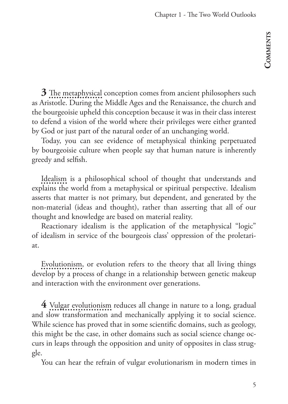**3** The metaphysical conception comes from ancient philosophers such as Aristotle. During the Middle Ages and the Renaissance, the church and the bourgeoisie upheld this conception because it was in their class interest to defend a vision of the world where their privileges were either granted by God or just part of the natural order of an unchanging world.

Today, you can see evidence of metaphysical thinking perpetuated by bourgeoisie culture when people say that human nature is inherently greedy and selfish.

Idealism is a philosophical school of thought that understands and explains the world from a metaphysical or spiritual perspective. Idealism asserts that matter is not primary, but dependent, and generated by the non-material (ideas and thought), rather than asserting that all of our thought and knowledge are based on material reality.

Reactionary idealism is the application of the metaphysical "logic" of idealism in service of the bourgeois class' oppression of the proletariat.

Evolutionism, or evolution refers to the theory that all living things develop by a process of change in a relationship between genetic makeup and interaction with the environment over generations.

**4** Vulgar evolutionism reduces all change in nature to a long, gradual and slow transformation and mechanically applying it to social science. While science has proved that in some scientific domains, such as geology, this might be the case, in other domains such as social science change occurs in leaps through the opposition and unity of opposites in class struggle.

You can hear the refrain of vulgar evolutionarism in modern times in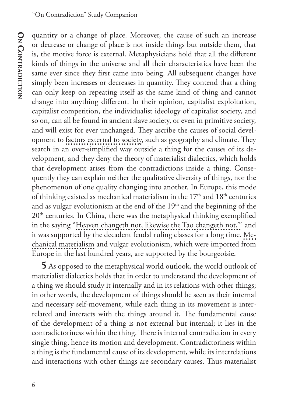quantity or a change of place. Moreover, the cause of such an increase or decrease or change of place is not inside things but outside them, that is, the motive force is external. Metaphysicians hold that all the different kinds of things in the universe and all their characteristics have been the same ever since they first came into being. All subsequent changes have simply been increases or decreases in quantity. They contend that a thing can only keep on repeating itself as the same kind of thing and cannot change into anything different. In their opinion, capitalist exploitation, capitalist competition, the individualist ideology of capitalist society, and so on, can all be found in ancient slave society, or even in primitive society, and will exist for ever unchanged. They ascribe the causes of social development to factors external to society, such as geography and climate. They search in an over-simplified way outside a thing for the causes of its development, and they deny the theory of materialist dialectics, which holds that development arises from the contradictions inside a thing. Consequently they can explain neither the qualitative diversity of things, nor the phenomenon of one quality changing into another. In Europe, this mode of thinking existed as mechanical materialism in the  $17<sup>th</sup>$  and  $18<sup>th</sup>$  centuries and as vulgar evolutionism at the end of the 19<sup>th</sup> and the beginning of the 20<sup>th</sup> centuries. In China, there was the metaphysical thinking exemplified in the saying "Heaven changeth not, likewise the Tao changeth not,"4 and it was supported by the decadent feudal ruling classes for a long time. Mechanical materialism and vulgar evolutionism, which were imported from Europe in the last hundred years, are supported by the bourgeoisie.

**5** As opposed to the metaphysical world outlook, the world outlook of materialist dialectics holds that in order to understand the development of a thing we should study it internally and in its relations with other things; in other words, the development of things should be seen as their internal and necessary self-movement, while each thing in its movement is interrelated and interacts with the things around it. The fundamental cause of the development of a thing is not external but internal; it lies in the contradictoriness within the thing. There is internal contradiction in every single thing, hence its motion and development. Contradictoriness within a thing is the fundamental cause of its development, while its interrelations and interactions with other things are secondary causes. Thus materialist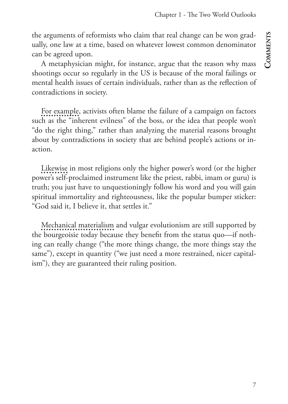the arguments of reformists who claim that real change can be won gradually, one law at a time, based on whatever lowest common denominator can be agreed upon.

A metaphysician might, for instance, argue that the reason why mass shootings occur so regularly in the US is because of the moral failings or mental health issues of certain individuals, rather than as the reflection of contradictions in society.

For example, activists often blame the failure of a campaign on factors such as the "inherent evilness" of the boss, or the idea that people won't "do the right thing," rather than analyzing the material reasons brought about by contradictions in society that are behind people's actions or inaction.

Likewise in most religions only the higher power's word (or the higher power's self-proclaimed instrument like the priest, rabbi, imam or guru) is truth; you just have to unquestioningly follow his word and you will gain spiritual immortality and righteousness, like the popular bumper sticker: "God said it, I believe it, that settles it."

Mechanical materialism and vulgar evolutionism are still supported by the bourgeoisie today because they benefit from the status quo—if nothing can really change ("the more things change, the more things stay the same"), except in quantity ("we just need a more restrained, nicer capitalism"), they are guaranteed their ruling position.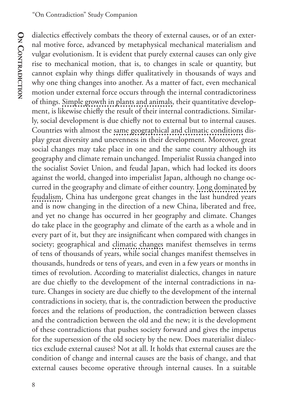dialectics effectively combats the theory of external causes, or of an external motive force, advanced by metaphysical mechanical materialism and vulgar evolutionism. It is evident that purely external causes can only give rise to mechanical motion, that is, to changes in scale or quantity, but cannot explain why things differ qualitatively in thousands of ways and why one thing changes into another. As a matter of fact, even mechanical motion under external force occurs through the internal contradictoriness of things. Simple growth in plants and animals, their quantitative development, is likewise chiefly the result of their internal contradictions. Similarly, social development is due chiefly not to external but to internal causes. Countries with almost the same geographical and climatic conditions display great diversity and unevenness in their development. Moreover, great social changes may take place in one and the same country although its geography and climate remain unchanged. Imperialist Russia changed into the socialist Soviet Union, and feudal Japan, which had locked its doors against the world, changed into imperialist Japan, although no change occurred in the geography and climate of either country. Long dominated by feudalism, China has undergone great changes in the last hundred years and is now changing in the direction of a new China, liberated and free, and yet no change has occurred in her geography and climate. Changes do take place in the geography and climate of the earth as a whole and in every part of it, but they are insignificant when compared with changes in society; geographical and climatic changes manifest themselves in terms of tens of thousands of years, while social changes manifest themselves in thousands, hundreds or tens of years, and even in a few years or months in times of revolution. According to materialist dialectics, changes in nature are due chiefly to the development of the internal contradictions in nature. Changes in society are due chiefly to the development of the internal contradictions in society, that is, the contradiction between the productive forces and the relations of production, the contradiction between classes and the contradiction between the old and the new; it is the development of these contradictions that pushes society forward and gives the impetus for the supersession of the old society by the new. Does materialist dialectics exclude external causes? Not at all. It holds that external causes are the condition of change and internal causes are the basis of change, and that external causes become operative through internal causes. In a suitable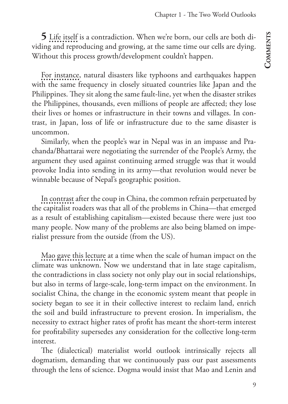**5** Life itself is a contradiction. When we're born, our cells are both dividing and reproducing and growing, at the same time our cells are dying. Without this process growth/development couldn't happen.

For instance, natural disasters like typhoons and earthquakes happen with the same frequency in closely situated countries like Japan and the Philippines. They sit along the same fault-line, yet when the disaster strikes the Philippines, thousands, even millions of people are affected; they lose their lives or homes or infrastructure in their towns and villages. In contrast, in Japan, loss of life or infrastructure due to the same disaster is uncommon.

Similarly, when the people's war in Nepal was in an impasse and Prachanda/Bhattarai were negotiating the surrender of the People's Army, the argument they used against continuing armed struggle was that it would provoke India into sending in its army—that revolution would never be winnable because of Nepal's geographic position.

In contrast after the coup in China, the common refrain perpetuated by the capitalist roaders was that all of the problems in China—that emerged as a result of establishing capitalism—existed because there were just too many people. Now many of the problems are also being blamed on imperialist pressure from the outside (from the US).

Mao gave this lecture at a time when the scale of human impact on the climate was unknown. Now we understand that in late stage capitalism, the contradictions in class society not only play out in social relationships, but also in terms of large-scale, long-term impact on the environment. In socialist China, the change in the economic system meant that people in society began to see it in their collective interest to reclaim land, enrich the soil and build infrastructure to prevent erosion. In imperialism, the necessity to extract higher rates of profit has meant the short-term interest for profitability supersedes any consideration for the collective long-term interest.

The (dialectical) materialist world outlook intrinsically rejects all dogmatism, demanding that we continuously pass our past assessments through the lens of science. Dogma would insist that Mao and Lenin and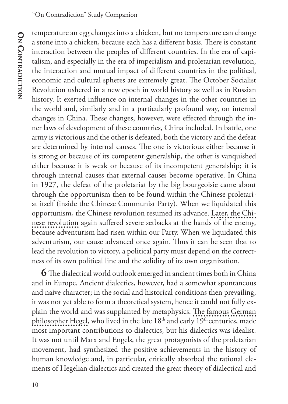#### "On Contradiction" Study Companion

temperature an egg changes into a chicken, but no temperature can change a stone into a chicken, because each has a different basis. There is constant interaction between the peoples of different countries. In the era of capitalism, and especially in the era of imperialism and proletarian revolution, the interaction and mutual impact of different countries in the political, economic and cultural spheres are extremely great. The October Socialist Revolution ushered in a new epoch in world history as well as in Russian history. It exerted influence on internal changes in the other countries in the world and, similarly and in a particularly profound way, on internal changes in China. These changes, however, were effected through the inner laws of development of these countries, China included. In battle, one army is victorious and the other is defeated, both the victory and the defeat are determined by internal causes. The one is victorious either because it is strong or because of its competent generalship, the other is vanquished either because it is weak or because of its incompetent generalship; it is through internal causes that external causes become operative. In China in 1927, the defeat of the proletariat by the big bourgeoisie came about through the opportunism then to be found within the Chinese proletariat itself (inside the Chinese Communist Party). When we liquidated this opportunism, the Chinese revolution resumed its advance. Later, the Chinese revolution again suffered severe setbacks at the hands of the enemy, because adventurism had risen within our Party. When we liquidated this adventurism, our cause advanced once again. Thus it can be seen that to lead the revolution to victory, a political party must depend on the correctness of its own political line and the solidity of its own organization.

**6** The dialectical world outlook emerged in ancient times both in China and in Europe. Ancient dialectics, however, had a somewhat spontaneous and naive character; in the social and historical conditions then prevailing, it was not yet able to form a theoretical system, hence it could not fully explain the world and was supplanted by metaphysics. The famous German philosopher Hegel, who lived in the late 18<sup>th</sup> and early 19<sup>th</sup> centuries, made most important contributions to dialectics, but his dialectics was idealist. It was not until Marx and Engels, the great protagonists of the proletarian movement, had synthesized the positive achievements in the history of human knowledge and, in particular, critically absorbed the rational elements of Hegelian dialectics and created the great theory of dialectical and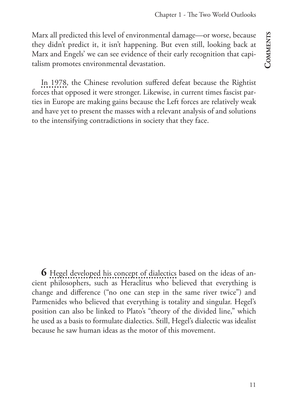Marx all predicted this level of environmental damage—or worse, because they didn't predict it, it isn't happening. But even still, looking back at Marx and Engels' we can see evidence of their early recognition that capitalism promotes environmental devastation.

In 1978, the Chinese revolution suffered defeat because the Rightist forces that opposed it were stronger. Likewise, in current times fascist parties in Europe are making gains because the Left forces are relatively weak and have yet to present the masses with a relevant analysis of and solutions to the intensifying contradictions in society that they face.

**6** Hegel developed his concept of dialectics based on the ideas of ancient philosophers, such as Heraclitus who believed that everything is change and difference ("no one can step in the same river twice") and Parmenides who believed that everything is totality and singular. Hegel's position can also be linked to Plato's "theory of the divided line," which he used as a basis to formulate dialectics. Still, Hegel's dialectic was idealist because he saw human ideas as the motor of this movement.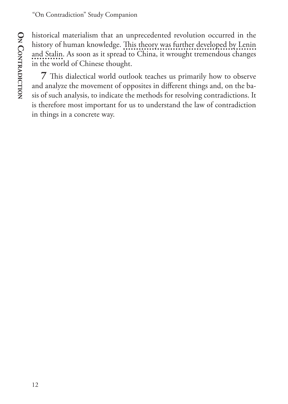#### "On Contradiction" Study Companion

historical materialism that an unprecedented revolution occurred in the history of human knowledge. This theory was further developed by Lenin and Stalin. As soon as it spread to China, it wrought tremendous changes in the world of Chinese thought.

**7** This dialectical world outlook teaches us primarily how to observe and analyze the movement of opposites in different things and, on the basis of such analysis, to indicate the methods for resolving contradictions. It is therefore most important for us to understand the law of contradiction in things in a concrete way.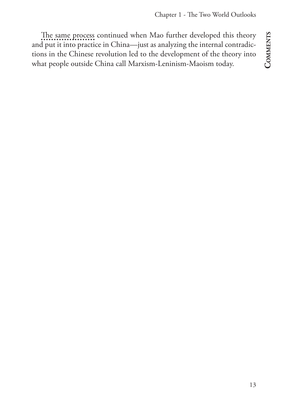The same process continued when Mao further developed this theory and put it into practice in China—just as analyzing the internal contradictions in the Chinese revolution led to the development of the theory into what people outside China call Marxism-Leninism-Maoism today.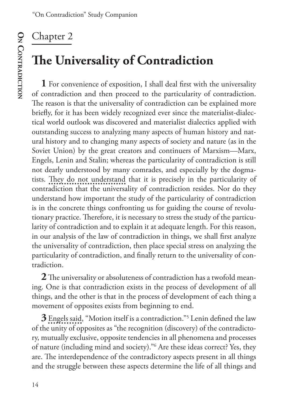### Chapter 2

## **The Universality of Contradiction**

**1** For convenience of exposition, I shall deal first with the universality of contradiction and then proceed to the particularity of contradiction. The reason is that the universality of contradiction can be explained more briefly, for it has been widely recognized ever since the materialist-dialectical world outlook was discovered and materialist dialectics applied with outstanding success to analyzing many aspects of human history and natural history and to changing many aspects of society and nature (as in the Soviet Union) by the great creators and continuers of Marxism—Marx, Engels, Lenin and Stalin; whereas the particularity of contradiction is still not dearly understood by many comrades, and especially by the dogmatists. They do not understand that it is precisely in the particularity of contradiction that the universality of contradiction resides. Nor do they understand how important the study of the particularity of contradiction is in the concrete things confronting us for guiding the course of revolutionary practice. Therefore, it is necessary to stress the study of the particularity of contradiction and to explain it at adequate length. For this reason, in our analysis of the law of contradiction in things, we shall first analyze the universality of contradiction, then place special stress on analyzing the particularity of contradiction, and finally return to the universality of contradiction.

**2** The universality or absoluteness of contradiction has a twofold meaning. One is that contradiction exists in the process of development of all things, and the other is that in the process of development of each thing a movement of opposites exists from beginning to end.

**3** Engels said, "Motion itself is a contradiction."5 Lenin defined the law of the unity of opposites as "the recognition (discovery) of the contradictory, mutually exclusive, opposite tendencies in all phenomena and processes of nature (including mind and society)."6 Are these ideas correct? Yes, they are. The interdependence of the contradictory aspects present in all things and the struggle between these aspects determine the life of all things and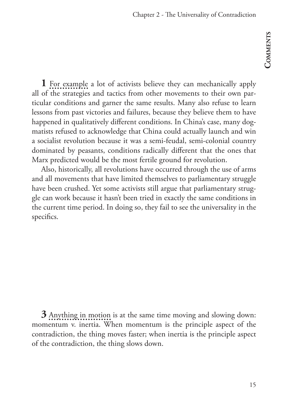**1** For example a lot of activists believe they can mechanically apply all of the strategies and tactics from other movements to their own particular conditions and garner the same results. Many also refuse to learn lessons from past victories and failures, because they believe them to have happened in qualitatively different conditions. In China's case, many dogmatists refused to acknowledge that China could actually launch and win a socialist revolution because it was a semi-feudal, semi-colonial country dominated by peasants, conditions radically different that the ones that Marx predicted would be the most fertile ground for revolution.

Also, historically, all revolutions have occurred through the use of arms and all movements that have limited themselves to parliamentary struggle have been crushed. Yet some activists still argue that parliamentary struggle can work because it hasn't been tried in exactly the same conditions in the current time period. In doing so, they fail to see the universality in the specifics.

**3** Anything in motion is at the same time moving and slowing down: momentum v. inertia. When momentum is the principle aspect of the contradiction, the thing moves faster; when inertia is the principle aspect of the contradiction, the thing slows down.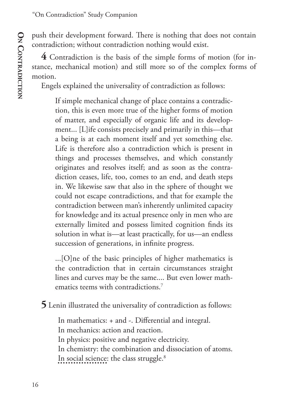push their development forward. There is nothing that does not contain contradiction; without contradiction nothing would exist.

**4** Contradiction is the basis of the simple forms of motion (for instance, mechanical motion) and still more so of the complex forms of motion.

Engels explained the universality of contradiction as follows:

If simple mechanical change of place contains a contradiction, this is even more true of the higher forms of motion of matter, and especially of organic life and its development... [L]ife consists precisely and primarily in this—that a being is at each moment itself and yet something else. Life is therefore also a contradiction which is present in things and processes themselves, and which constantly originates and resolves itself; and as soon as the contradiction ceases, life, too, comes to an end, and death steps in. We likewise saw that also in the sphere of thought we could not escape contradictions, and that for example the contradiction between man's inherently unlimited capacity for knowledge and its actual presence only in men who are externally limited and possess limited cognition finds its solution in what is—at least practically, for us—an endless succession of generations, in infinite progress.

...[O]ne of the basic principles of higher mathematics is the contradiction that in certain circumstances straight lines and curves may be the same.... But even lower mathematics teems with contradictions.7

**5** Lenin illustrated the universality of contradiction as follows:

In mathematics: + and -. Differential and integral. In mechanics: action and reaction. In physics: positive and negative electricity. In chemistry: the combination and dissociation of atoms. In social science: the class struggle.<sup>8</sup>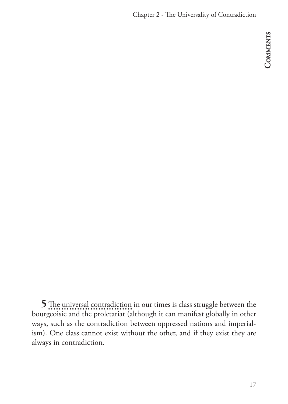#### Chapter 2 - The Universality of Contradiction

**5** The universal contradiction in our times is class struggle between the bourgeoisie and the proletariat (although it can manifest globally in other ways, such as the contradiction between oppressed nations and imperialism). One class cannot exist without the other, and if they exist they are always in contradiction.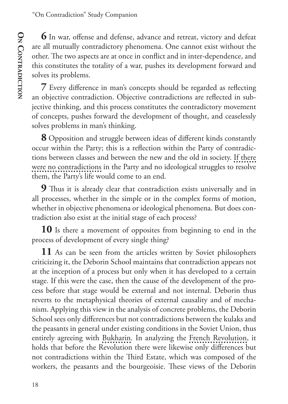**6** In war, offense and defense, advance and retreat, victory and defeat are all mutually contradictory phenomena. One cannot exist without the other. The two aspects are at once in conflict and in inter-dependence, and this constitutes the totality of a war, pushes its development forward and solves its problems.

**7** Every difference in man's concepts should be regarded as reflecting an objective contradiction. Objective contradictions are reflected in subjective thinking, and this process constitutes the contradictory movement of concepts, pushes forward the development of thought, and ceaselessly solves problems in man's thinking.

**8** Opposition and struggle between ideas of different kinds constantly occur within the Party; this is a reflection within the Party of contradictions between classes and between the new and the old in society. If there were no contradictions in the Party and no ideological struggles to resolve them, the Party's life would come to an end.

**9** Thus it is already clear that contradiction exists universally and in all processes, whether in the simple or in the complex forms of motion, whether in objective phenomena or ideological phenomena. But does contradiction also exist at the initial stage of each process?

**10** Is there a movement of opposites from beginning to end in the process of development of every single thing?

11 As can be seen from the articles written by Soviet philosophers criticizing it, the Deborin School maintains that contradiction appears not at the inception of a process but only when it has developed to a certain stage. If this were the case, then the cause of the development of the process before that stage would be external and not internal. Deborin thus reverts to the metaphysical theories of external causality and of mechanism. Applying this view in the analysis of concrete problems, the Deborin School sees only differences but not contradictions between the kulaks and the peasants in general under existing conditions in the Soviet Union, thus entirely agreeing with Bukharin. In analyzing the French Revolution, it holds that before the Revolution there were likewise only differences but not contradictions within the Third Estate, which was composed of the workers, the peasants and the bourgeoisie. These views of the Deborin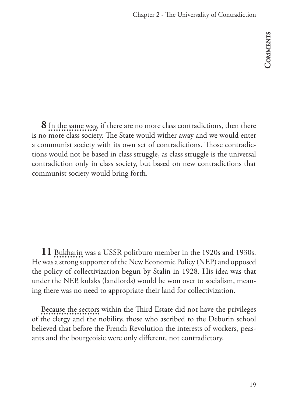**8** In the same way, if there are no more class contradictions, then there is no more class society. The State would wither away and we would enter a communist society with its own set of contradictions. Those contradictions would not be based in class struggle, as class struggle is the universal contradiction only in class society, but based on new contradictions that communist society would bring forth.

**11** Bukharin was a USSR politburo member in the 1920s and 1930s. He was a strong supporter of the New Economic Policy (NEP) and opposed the policy of collectivization begun by Stalin in 1928. His idea was that under the NEP, kulaks (landlords) would be won over to socialism, meaning there was no need to appropriate their land for collectivization.

Because the sectors within the Third Estate did not have the privileges of the clergy and the nobility, those who ascribed to the Deborin school believed that before the French Revolution the interests of workers, peasants and the bourgeoisie were only different, not contradictory.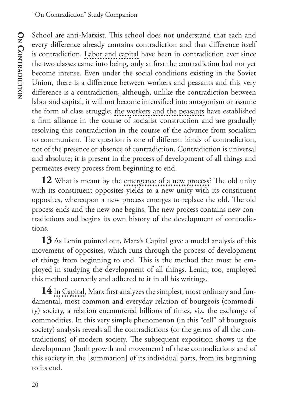School are anti-Marxist. This school does not understand that each and every difference already contains contradiction and that difference itself is contradiction. Labor and capital have been in contradiction ever since the two classes came into being, only at first the contradiction had not yet become intense. Even under the social conditions existing in the Soviet Union, there is a difference between workers and peasants and this very difference is a contradiction, although, unlike the contradiction between labor and capital, it will not become intensified into antagonism or assume the form of class struggle; the workers and the peasants have established a firm alliance in the course of socialist construction and are gradually resolving this contradiction in the course of the advance from socialism to communism. The question is one of different kinds of contradiction, not of the presence or absence of contradiction. Contradiction is universal and absolute; it is present in the process of development of all things and permeates every process from beginning to end.

**12** What is meant by the emergence of a new process? The old unity with its constituent opposites yields to a new unity with its constituent opposites, whereupon a new process emerges to replace the old. The old process ends and the new one begins. The new process contains new contradictions and begins its own history of the development of contradictions.

**13** As Lenin pointed out, Marx's Capital gave a model analysis of this movement of opposites, which runs through the process of development of things from beginning to end. This is the method that must be employed in studying the development of all things. Lenin, too, employed this method correctly and adhered to it in all his writings.

**14** In Capital, Marx first analyzes the simplest, most ordinary and fundamental, most common and everyday relation of bourgeois (commodity) society, a relation encountered billions of times, viz. the exchange of commodities. In this very simple phenomenon (in this "cell" of bourgeois society) analysis reveals all the contradictions (or the germs of all the contradictions) of modern society. The subsequent exposition shows us the development (both growth and movement) of these contradictions and of this society in the [summation] of its individual parts, from its beginning to its end.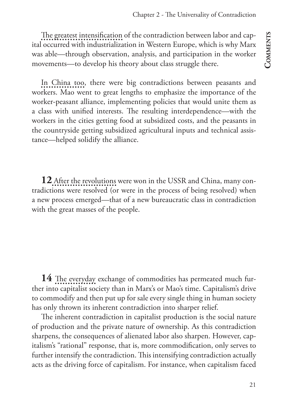The greatest intensification of the contradiction between labor and capital occurred with industrialization in Western Europe, which is why Marx was able—through observation, analysis, and participation in the worker movements—to develop his theory about class struggle there.

In China too, there were big contradictions between peasants and workers. Mao went to great lengths to emphasize the importance of the worker-peasant alliance, implementing policies that would unite them as a class with unified interests. The resulting interdependence—with the workers in the cities getting food at subsidized costs, and the peasants in the countryside getting subsidized agricultural inputs and technical assistance—helped solidify the alliance.

**12** After the revolutions were won in the USSR and China, many contradictions were resolved (or were in the process of being resolved) when a new process emerged—that of a new bureaucratic class in contradiction with the great masses of the people.

**14** The everyday exchange of commodities has permeated much further into capitalist society than in Marx's or Mao's time. Capitalism's drive to commodify and then put up for sale every single thing in human society has only thrown its inherent contradiction into sharper relief.

The inherent contradiction in capitalist production is the social nature of production and the private nature of ownership. As this contradiction sharpens, the consequences of alienated labor also sharpen. However, capitalism's "rational" response, that is, more commodification, only serves to further intensify the contradiction. This intensifying contradiction actually acts as the driving force of capitalism. For instance, when capitalism faced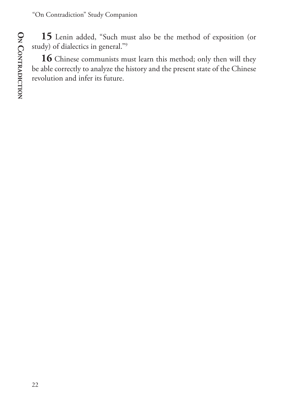**15** Lenin added, "Such must also be the method of exposition (or study) of dialectics in general."9

**16** Chinese communists must learn this method; only then will they be able correctly to analyze the history and the present state of the Chinese revolution and infer its future.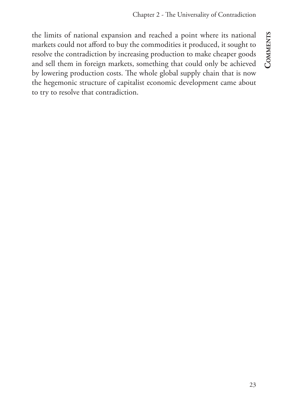the limits of national expansion and reached a point where its national markets could not afford to buy the commodities it produced, it sought to resolve the contradiction by increasing production to make cheaper goods and sell them in foreign markets, something that could only be achieved by lowering production costs. The whole global supply chain that is now the hegemonic structure of capitalist economic development came about to try to resolve that contradiction.

23

**Comments**

**COMMENTS**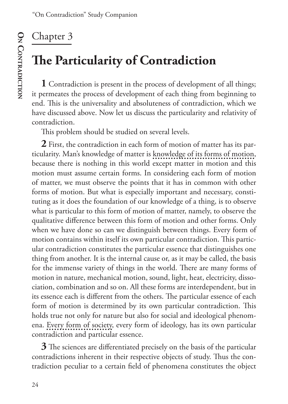## Chapter 3

# **The Particularity of Contradiction**

**1** Contradiction is present in the process of development of all things; it permeates the process of development of each thing from beginning to end. This is the universality and absoluteness of contradiction, which we have discussed above. Now let us discuss the particularity and relativity of contradiction.

This problem should be studied on several levels.

**2** First, the contradiction in each form of motion of matter has its particularity. Man's knowledge of matter is knowledge of its forms of motion, because there is nothing in this world except matter in motion and this motion must assume certain forms. In considering each form of motion of matter, we must observe the points that it has in common with other forms of motion. But what is especially important and necessary, constituting as it does the foundation of our knowledge of a thing, is to observe what is particular to this form of motion of matter, namely, to observe the qualitative difference between this form of motion and other forms. Only when we have done so can we distinguish between things. Every form of motion contains within itself its own particular contradiction. This particular contradiction constitutes the particular essence that distinguishes one thing from another. It is the internal cause or, as it may be called, the basis for the immense variety of things in the world. There are many forms of motion in nature, mechanical motion, sound, light, heat, electricity, dissociation, combination and so on. All these forms are interdependent, but in its essence each is different from the others. The particular essence of each form of motion is determined by its own particular contradiction. This holds true not only for nature but also for social and ideological phenomena. Every form of society, every form of ideology, has its own particular contradiction and particular essence.

**3** The sciences are differentiated precisely on the basis of the particular contradictions inherent in their respective objects of study. Thus the contradiction peculiar to a certain field of phenomena constitutes the object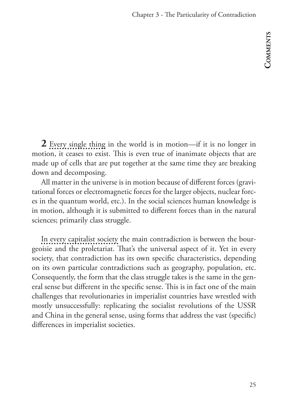**2** Every single thing in the world is in motion—if it is no longer in motion, it ceases to exist. This is even true of inanimate objects that are made up of cells that are put together at the same time they are breaking down and decomposing.

All matter in the universe is in motion because of different forces (gravitational forces or electromagnetic forces for the larger objects, nuclear forces in the quantum world, etc.). In the social sciences human knowledge is in motion, although it is submitted to different forces than in the natural sciences; primarily class struggle.

In every capitalist society the main contradiction is between the bourgeoisie and the proletariat. That's the universal aspect of it. Yet in every society, that contradiction has its own specific characteristics, depending on its own particular contradictions such as geography, population, etc. Consequently, the form that the class struggle takes is the same in the general sense but different in the specific sense. This is in fact one of the main challenges that revolutionaries in imperialist countries have wrestled with mostly unsuccessfully: replicating the socialist revolutions of the USSR and China in the general sense, using forms that address the vast (specific) differences in imperialist societies.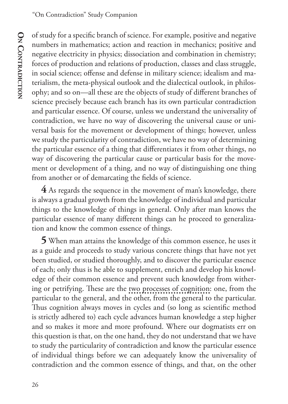of study for a specific branch of science. For example, positive and negative numbers in mathematics; action and reaction in mechanics; positive and negative electricity in physics; dissociation and combination in chemistry; forces of production and relations of production, classes and class struggle, in social science; offense and defense in military science; idealism and materialism, the meta-physical outlook and the dialectical outlook, in philosophy; and so on—all these are the objects of study of different branches of science precisely because each branch has its own particular contradiction and particular essence. Of course, unless we understand the universality of contradiction, we have no way of discovering the universal cause or universal basis for the movement or development of things; however, unless we study the particularity of contradiction, we have no way of determining the particular essence of a thing that differentiates it from other things, no way of discovering the particular cause or particular basis for the movement or development of a thing, and no way of distinguishing one thing from another or of demarcating the fields of science.

**4** As regards the sequence in the movement of man's knowledge, there is always a gradual growth from the knowledge of individual and particular things to the knowledge of things in general. Only after man knows the particular essence of many different things can he proceed to generalization and know the common essence of things.

**5** When man attains the knowledge of this common essence, he uses it as a guide and proceeds to study various concrete things that have not yet been studied, or studied thoroughly, and to discover the particular essence of each; only thus is he able to supplement, enrich and develop his knowledge of their common essence and prevent such knowledge from withering or petrifying. These are the two processes of cognition: one, from the particular to the general, and the other, from the general to the particular. Thus cognition always moves in cycles and (so long as scientific method is strictly adhered to) each cycle advances human knowledge a step higher and so makes it more and more profound. Where our dogmatists err on this question is that, on the one hand, they do not understand that we have to study the particularity of contradiction and know the particular essence of individual things before we can adequately know the universality of contradiction and the common essence of things, and that, on the other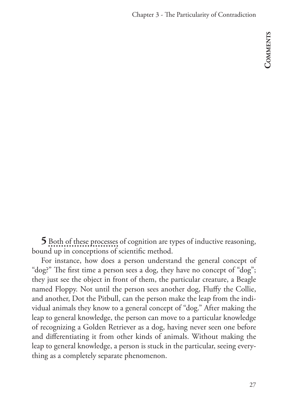#### Chapter 3 - The Particularity of Contradiction

**5** Both of these processes of cognition are types of inductive reasoning, bound up in conceptions of scientific method.

For instance, how does a person understand the general concept of "dog?" The first time a person sees a dog, they have no concept of "dog"; they just see the object in front of them, the particular creature, a Beagle named Floppy. Not until the person sees another dog, Fluffy the Collie, and another, Dot the Pitbull, can the person make the leap from the individual animals they know to a general concept of "dog." After making the leap to general knowledge, the person can move to a particular knowledge of recognizing a Golden Retriever as a dog, having never seen one before and differentiating it from other kinds of animals. Without making the leap to general knowledge, a person is stuck in the particular, seeing everything as a completely separate phenomenon.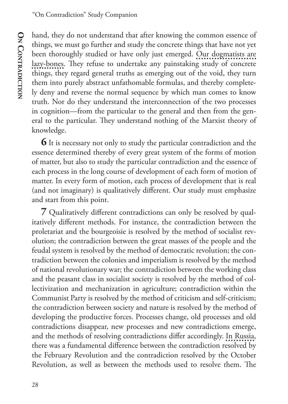hand, they do not understand that after knowing the common essence of things, we must go further and study the concrete things that have not yet been thoroughly studied or have only just emerged. Our dogmatists are lazy-bones. They refuse to undertake any painstaking study of concrete things, they regard general truths as emerging out of the void, they turn them into purely abstract unfathomable formulas, and thereby completely deny and reverse the normal sequence by which man comes to know truth. Nor do they understand the interconnection of the two processes in cognition—from the particular to the general and then from the general to the particular. They understand nothing of the Marxist theory of knowledge.

**6** It is necessary not only to study the particular contradiction and the essence determined thereby of every great system of the forms of motion of matter, but also to study the particular contradiction and the essence of each process in the long course of development of each form of motion of matter. In every form of motion, each process of development that is real (and not imaginary) is qualitatively different. Our study must emphasize and start from this point.

**7** Qualitatively different contradictions can only be resolved by qualitatively different methods. For instance, the contradiction between the proletariat and the bourgeoisie is resolved by the method of socialist revolution; the contradiction between the great masses of the people and the feudal system is resolved by the method of democratic revolution; the contradiction between the colonies and imperialism is resolved by the method of national revolutionary war; the contradiction between the working class and the peasant class in socialist society is resolved by the method of collectivization and mechanization in agriculture; contradiction within the Communist Party is resolved by the method of criticism and self-criticism; the contradiction between society and nature is resolved by the method of developing the productive forces. Processes change, old processes and old contradictions disappear, new processes and new contradictions emerge, and the methods of resolving contradictions differ accordingly. In Russia, there was a fundamental difference between the contradiction resolved by the February Revolution and the contradiction resolved by the October Revolution, as well as between the methods used to resolve them. The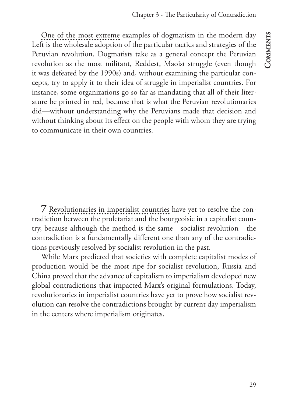One of the most extreme examples of dogmatism in the modern day Left is the wholesale adoption of the particular tactics and strategies of the Peruvian revolution. Dogmatists take as a general concept the Peruvian revolution as the most militant, Reddest, Maoist struggle (even though it was defeated by the 1990s) and, without examining the particular concepts, try to apply it to their idea of struggle in imperialist countries. For instance, some organizations go so far as mandating that all of their literature be printed in red, because that is what the Peruvian revolutionaries did—without understanding why the Peruvians made that decision and without thinking about its effect on the people with whom they are trying to communicate in their own countries.

**7** Revolutionaries in imperialist countries have yet to resolve the contradiction between the proletariat and the bourgeoisie in a capitalist country, because although the method is the same—socialist revolution—the contradiction is a fundamentally different one than any of the contradictions previously resolved by socialist revolution in the past.

While Marx predicted that societies with complete capitalist modes of production would be the most ripe for socialist revolution, Russia and China proved that the advance of capitalism to imperialism developed new global contradictions that impacted Marx's original formulations. Today, revolutionaries in imperialist countries have yet to prove how socialist revolution can resolve the contradictions brought by current day imperialism in the centers where imperialism originates.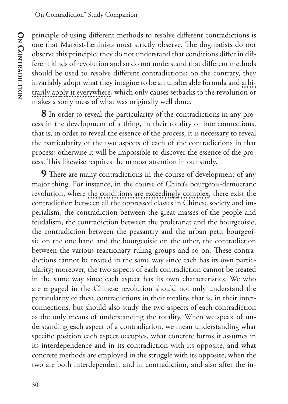principle of using different methods to resolve different contradictions is one that Marxist-Leninists must strictly observe. The dogmatists do not observe this principle; they do not understand that conditions differ in different kinds of revolution and so do not understand that different methods should be used to resolve different contradictions; on the contrary, they invariably adopt what they imagine to be an unalterable formula and arbitrarily apply it everywhere, which only causes setbacks to the revolution or makes a sorry mess of what was originally well done.

**8** In order to reveal the particularity of the contradictions in any process in the development of a thing, in their totality or interconnections, that is, in order to reveal the essence of the process, it is necessary to reveal the particularity of the two aspects of each of the contradictions in that process; otherwise it will be impossible to discover the essence of the process. This likewise requires the utmost attention in our study.

**9** There are many contradictions in the course of development of any major thing. For instance, in the course of China's bourgeois-democratic revolution, where the conditions are exceedingly complex, there exist the contradiction between all the oppressed classes in Chinese society and imperialism, the contradiction between the great masses of the people and feudalism, the contradiction between the proletariat and the bourgeoisie, the contradiction between the peasantry and the urban petit bourgeoisie on the one hand and the bourgeoisie on the other, the contradiction between the various reactionary ruling groups and so on. These contradictions cannot be treated in the same way since each has its own particularity; moreover, the two aspects of each contradiction cannot be treated in the same way since each aspect has its own characteristics. We who are engaged in the Chinese revolution should not only understand the particularity of these contradictions in their totality, that is, in their interconnections, but should also study the two aspects of each contradiction as the only means of understanding the totality. When we speak of understanding each aspect of a contradiction, we mean understanding what specific position each aspect occupies, what concrete forms it assumes in its interdependence and in its contradiction with its opposite, and what concrete methods are employed in the struggle with its opposite, when the two are both interdependent and in contradiction, and also after the in-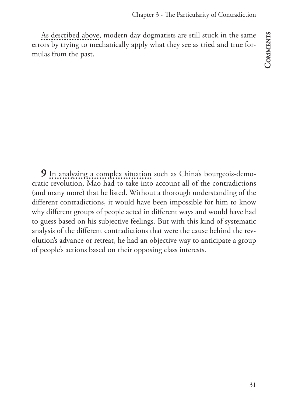As described above, modern day dogmatists are still stuck in the same errors by trying to mechanically apply what they see as tried and true formulas from the past.

**9** In analyzing a complex situation such as China's bourgeois-democratic revolution, Mao had to take into account all of the contradictions (and many more) that he listed. Without a thorough understanding of the different contradictions, it would have been impossible for him to know why different groups of people acted in different ways and would have had to guess based on his subjective feelings. But with this kind of systematic analysis of the different contradictions that were the cause behind the revolution's advance or retreat, he had an objective way to anticipate a group of people's actions based on their opposing class interests.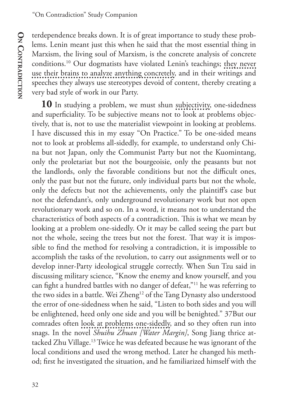terdependence breaks down. It is of great importance to study these problems. Lenin meant just this when he said that the most essential thing in Marxism, the living soul of Marxism, is the concrete analysis of concrete conditions.10 Our dogmatists have violated Lenin's teachings; they never use their brains to analyze anything concretely, and in their writings and speeches they always use stereotypes devoid of content, thereby creating a very bad style of work in our Party.

**10** In studying a problem, we must shun subjectivity, one-sidedness and superficiality. To be subjective means not to look at problems objectively, that is, not to use the materialist viewpoint in looking at problems. I have discussed this in my essay "On Practice." To be one-sided means not to look at problems all-sidedly, for example, to understand only China but not Japan, only the Communist Party but not the Kuomintang, only the proletariat but not the bourgeoisie, only the peasants but not the landlords, only the favorable conditions but not the difficult ones, only the past but not the future, only individual parts but not the whole, only the defects but not the achievements, only the plaintiff's case but not the defendant's, only underground revolutionary work but not open revolutionary work and so on. In a word, it means not to understand the characteristics of both aspects of a contradiction. This is what we mean by looking at a problem one-sidedly. Or it may be called seeing the part but not the whole, seeing the trees but not the forest. That way it is impossible to find the method for resolving a contradiction, it is impossible to accomplish the tasks of the revolution, to carry out assignments well or to develop inner-Party ideological struggle correctly. When Sun Tzu said in discussing military science, "Know the enemy and know yourself, and you can fight a hundred battles with no danger of defeat,"11 he was referring to the two sides in a battle. Wei Zheng<sup>12</sup> of the Tang Dynasty also understood the error of one-sidedness when he said, "Listen to both sides and you will be enlightened, heed only one side and you will be benighted." 37But our comrades often look at problems one-sidedly, and so they often run into snags. In the novel *Shuihu Zhuan [Water Margin]*, Song Jiang thrice attacked Zhu Village.13 Twice he was defeated because he was ignorant of the local conditions and used the wrong method. Later he changed his method; first he investigated the situation, and he familiarized himself with the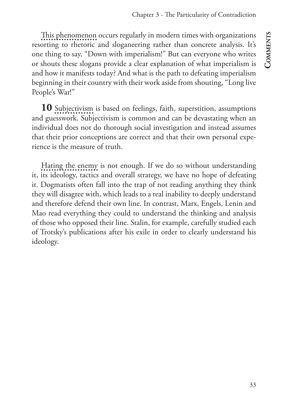This phenomenon occurs regularly in modern times with organizations resorting to rhetoric and sloganeering rather than concrete analysis. It's one thing to say, "Down with imperialism!" But can everyone who writes or shouts these slogans provide a clear explanation of what imperialism is and how it manifests today? And what is the path to defeating imperialism beginning in their country with their work aside from shouting, "Long live People's War!"

**10** Subjectivism is based on feelings, faith, superstition, assumptions and guesswork. Subjectivism is common and can be devastating when an individual does not do thorough social investigation and instead assumes that their prior conceptions are correct and that their own personal experience is the measure of truth.

Hating the enemy is not enough. If we do so without understanding it, its ideology, tactics and overall strategy, we have no hope of defeating it. Dogmatists often fall into the trap of not reading anything they think they will disagree with, which leads to a real inability to deeply understand and therefore defend their own line. In contrast, Marx, Engels, Lenin and Mao read everything they could to understand the thinking and analysis of those who opposed their line. Stalin, for example, carefully studied each of Trotsky's publications after his exile in order to clearly understand his ideology.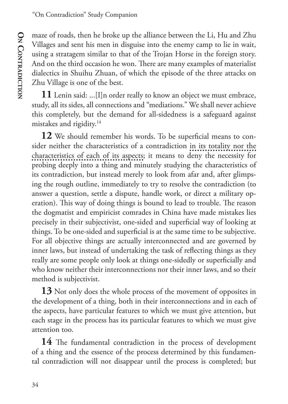maze of roads, then he broke up the alliance between the Li, Hu and Zhu Villages and sent his men in disguise into the enemy camp to lie in wait, using a stratagem similar to that of the Trojan Horse in the foreign story. And on the third occasion he won. There are many examples of materialist dialectics in Shuihu Zhuan, of which the episode of the three attacks on Zhu Village is one of the best.

**11** Lenin said: ...[I]n order really to know an object we must embrace, study, all its sides, all connections and "mediations." We shall never achieve this completely, but the demand for all-sidedness is a safeguard against mistakes and rigidity.14

**12** We should remember his words. To be superficial means to consider neither the characteristics of a contradiction in its totality nor the characteristics of each of its aspects; it means to deny the necessity for probing deeply into a thing and minutely studying the characteristics of its contradiction, but instead merely to look from afar and, after glimpsing the rough outline, immediately to try to resolve the contradiction (to answer a question, settle a dispute, handle work, or direct a military operation). This way of doing things is bound to lead to trouble. The reason the dogmatist and empiricist comrades in China have made mistakes lies precisely in their subjectivist, one-sided and superficial way of looking at things. To be one-sided and superficial is at the same time to be subjective. For all objective things are actually interconnected and are governed by inner laws, but instead of undertaking the task of reflecting things as they really are some people only look at things one-sidedly or superficially and who know neither their interconnections nor their inner laws, and so their method is subjectivist.

13 Not only does the whole process of the movement of opposites in the development of a thing, both in their interconnections and in each of the aspects, have particular features to which we must give attention, but each stage in the process has its particular features to which we must give attention too.

**14** The fundamental contradiction in the process of development of a thing and the essence of the process determined by this fundamental contradiction will not disappear until the process is completed; but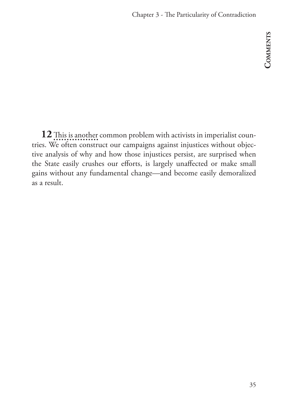**12** This is another common problem with activists in imperialist countries. We often construct our campaigns against injustices without objective analysis of why and how those injustices persist, are surprised when the State easily crushes our efforts, is largely unaffected or make small gains without any fundamental change—and become easily demoralized as a result.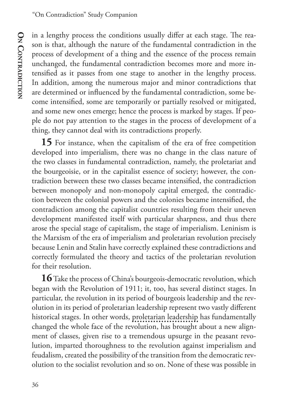in a lengthy process the conditions usually differ at each stage. The reason is that, although the nature of the fundamental contradiction in the process of development of a thing and the essence of the process remain unchanged, the fundamental contradiction becomes more and more intensified as it passes from one stage to another in the lengthy process. In addition, among the numerous major and minor contradictions that are determined or influenced by the fundamental contradiction, some become intensified, some are temporarily or partially resolved or mitigated, and some new ones emerge; hence the process is marked by stages. If people do not pay attention to the stages in the process of development of a thing, they cannot deal with its contradictions properly.

15 For instance, when the capitalism of the era of free competition developed into imperialism, there was no change in the class nature of the two classes in fundamental contradiction, namely, the proletariat and the bourgeoisie, or in the capitalist essence of society; however, the contradiction between these two classes became intensified, the contradiction between monopoly and non-monopoly capital emerged, the contradiction between the colonial powers and the colonies became intensified, the contradiction among the capitalist countries resulting from their uneven development manifested itself with particular sharpness, and thus there arose the special stage of capitalism, the stage of imperialism. Leninism is the Marxism of the era of imperialism and proletarian revolution precisely because Lenin and Stalin have correctly explained these contradictions and correctly formulated the theory and tactics of the proletarian revolution for their resolution.

**16** Take the process of China's bourgeois-democratic revolution, which began with the Revolution of 1911; it, too, has several distinct stages. In particular, the revolution in its period of bourgeois leadership and the revolution in its period of proletarian leadership represent two vastly different historical stages. In other words, proletarian leadership has fundamentally changed the whole face of the revolution, has brought about a new alignment of classes, given rise to a tremendous upsurge in the peasant revolution, imparted thoroughness to the revolution against imperialism and feudalism, created the possibility of the transition from the democratic revolution to the socialist revolution and so on. None of these was possible in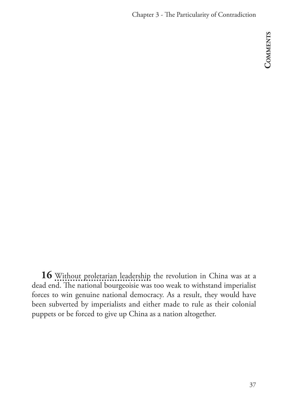#### Chapter 3 - The Particularity of Contradiction

**16** Without proletarian leadership the revolution in China was at a dead end. The national bourgeoisie was too weak to withstand imperialist forces to win genuine national democracy. As a result, they would have been subverted by imperialists and either made to rule as their colonial puppets or be forced to give up China as a nation altogether.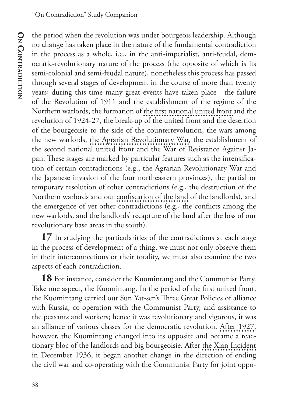the period when the revolution was under bourgeois leadership. Although no change has taken place in the nature of the fundamental contradiction in the process as a whole, i.e., in the anti-imperialist, anti-feudal, democratic-revolutionary nature of the process (the opposite of which is its semi-colonial and semi-feudal nature), nonetheless this process has passed through several stages of development in the course of more than twenty years; during this time many great events have taken place—the failure of the Revolution of 1911 and the establishment of the regime of the Northern warlords, the formation of the first national united front and the revolution of 1924-27, the break-up of the united front and the desertion of the bourgeoisie to the side of the counterrevolution, the wars among the new warlords, the Agrarian Revolutionary War, the establishment of the second national united front and the War of Resistance Against Japan. These stages are marked by particular features such as the intensification of certain contradictions (e.g., the Agrarian Revolutionary War and the Japanese invasion of the four northeastern provinces), the partial or temporary resolution of other contradictions (e.g., the destruction of the Northern warlords and our confiscation of the land of the landlords), and the emergence of yet other contradictions (e.g., the conflicts among the new warlords, and the landlords' recapture of the land after the loss of our revolutionary base areas in the south).

**17** In studying the particularities of the contradictions at each stage in the process of development of a thing, we must not only observe them in their interconnections or their totality, we must also examine the two aspects of each contradiction.

**18** For instance, consider the Kuomintang and the Communist Party. Take one aspect, the Kuomintang. In the period of the first united front, the Kuomintang carried out Sun Yat-sen's Three Great Policies of alliance with Russia, co-operation with the Communist Party, and assistance to the peasants and workers; hence it was revolutionary and vigorous, it was an alliance of various classes for the democratic revolution. After 1927, however, the Kuomintang changed into its opposite and became a reactionary bloc of the landlords and big bourgeoisie. After the Xian Incident in December 1936, it began another change in the direction of ending the civil war and co-operating with the Communist Party for joint oppo-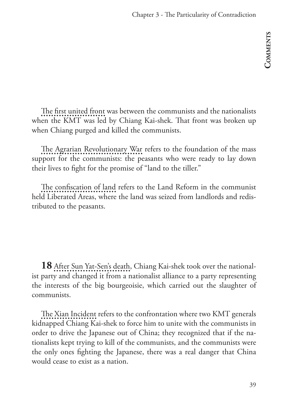The first united front was between the communists and the nationalists when the KMT was led by Chiang Kai-shek. That front was broken up when Chiang purged and killed the communists.

The Agrarian Revolutionary War refers to the foundation of the mass support for the communists: the peasants who were ready to lay down their lives to fight for the promise of "land to the tiller."

The confiscation of land refers to the Land Reform in the communist held Liberated Areas, where the land was seized from landlords and redistributed to the peasants.

**18** After Sun Yat-Sen's death, Chiang Kai-shek took over the nationalist party and changed it from a nationalist alliance to a party representing the interests of the big bourgeoisie, which carried out the slaughter of communists.

The Xian Incident refers to the confrontation where two KMT generals kidnapped Chiang Kai-shek to force him to unite with the communists in order to drive the Japanese out of China; they recognized that if the nationalists kept trying to kill of the communists, and the communists were the only ones fighting the Japanese, there was a real danger that China would cease to exist as a nation.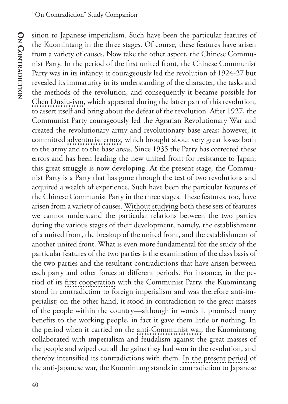**O n C ontradi cti o n**

sition to Japanese imperialism. Such have been the particular features of the Kuomintang in the three stages. Of course, these features have arisen from a variety of causes. Now take the other aspect, the Chinese Communist Party. In the period of the first united front, the Chinese Communist Party was in its infancy; it courageously led the revolution of 1924-27 but revealed its immaturity in its understanding of the character, the tasks and the methods of the revolution, and consequently it became possible for Chen Duxiu-ism, which appeared during the latter part of this revolution, to assert itself and bring about the defeat of the revolution. After 1927, the Communist Party courageously led the Agrarian Revolutionary War and created the revolutionary army and revolutionary base areas; however, it committed adventurist errors, which brought about very great losses both to the army and to the base areas. Since 1935 the Party has corrected these errors and has been leading the new united front for resistance to Japan; this great struggle is now developing. At the present stage, the Communist Party is a Party that has gone through the test of two revolutions and acquired a wealth of experience. Such have been the particular features of the Chinese Communist Party in the three stages. These features, too, have arisen from a variety of causes. Without studying both these sets of features we cannot understand the particular relations between the two parties during the various stages of their development, namely, the establishment of a united front, the breakup of the united front, and the establishment of another united front. What is even more fundamental for the study of the particular features of the two parties is the examination of the class basis of the two parties and the resultant contradictions that have arisen between each party and other forces at different periods. For instance, in the period of its first cooperation with the Communist Party, the Kuomintang stood in contradiction to foreign imperialism and was therefore anti-imperialist; on the other hand, it stood in contradiction to the great masses of the people within the country—although in words it promised many benefits to the working people, in fact it gave them little or nothing. In the period when it carried on the anti-Communist war, the Kuomintang collaborated with imperialism and feudalism against the great masses of the people and wiped out all the gains they had won in the revolution, and thereby intensified its contradictions with them. In the present period of the anti-Japanese war, the Kuomintang stands in contradiction to Japanese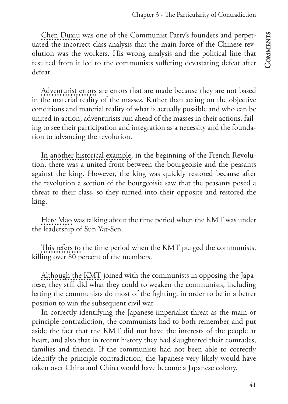Chen Duxiu was one of the Communist Party's founders and perpetuated the incorrect class analysis that the main force of the Chinese revolution was the workers. His wrong analysis and the political line that resulted from it led to the communists suffering devastating defeat after defeat.

Adventurist errors are errors that are made because they are not based in the material reality of the masses. Rather than acting on the objective conditions and material reality of what is actually possible and who can be united in action, adventurists run ahead of the masses in their actions, failing to see their participation and integration as a necessity and the foundation to advancing the revolution.

In another historical example, in the beginning of the French Revolution, there was a united front between the bourgeoisie and the peasants against the king. However, the king was quickly restored because after the revolution a section of the bourgeoisie saw that the peasants posed a threat to their class, so they turned into their opposite and restored the king.

Here Mao was talking about the time period when the KMT was under the leadership of Sun Yat-Sen.

This refers to the time period when the KMT purged the communists, killing over 80 percent of the members.

Although the KMT joined with the communists in opposing the Japanese, they still did what they could to weaken the communists, including letting the communists do most of the fighting, in order to be in a better position to win the subsequent civil war.

In correctly identifying the Japanese imperialist threat as the main or principle contradiction, the communists had to both remember and put aside the fact that the KMT did not have the interests of the people at heart, and also that in recent history they had slaughtered their comrades, families and friends. If the communists had not been able to correctly identify the principle contradiction, the Japanese very likely would have taken over China and China would have become a Japanese colony.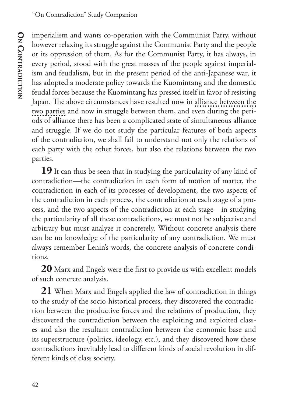imperialism and wants co-operation with the Communist Party, without however relaxing its struggle against the Communist Party and the people or its oppression of them. As for the Communist Party, it has always, in every period, stood with the great masses of the people against imperialism and feudalism, but in the present period of the anti-Japanese war, it has adopted a moderate policy towards the Kuomintang and the domestic feudal forces because the Kuomintang has pressed itself in favor of resisting Japan. The above circumstances have resulted now in alliance between the two parties and now in struggle between them, and even during the periods of alliance there has been a complicated state of simultaneous alliance and struggle. If we do not study the particular features of both aspects of the contradiction, we shall fail to understand not only the relations of each party with the other forces, but also the relations between the two parties.

**19** It can thus be seen that in studying the particularity of any kind of contradiction—the contradiction in each form of motion of matter, the contradiction in each of its processes of development, the two aspects of the contradiction in each process, the contradiction at each stage of a process, and the two aspects of the contradiction at each stage—in studying the particularity of all these contradictions, we must not be subjective and arbitrary but must analyze it concretely. Without concrete analysis there can be no knowledge of the particularity of any contradiction. We must always remember Lenin's words, the concrete analysis of concrete conditions.

**20** Marx and Engels were the first to provide us with excellent models of such concrete analysis.

**21** When Marx and Engels applied the law of contradiction in things to the study of the socio-historical process, they discovered the contradiction between the productive forces and the relations of production, they discovered the contradiction between the exploiting and exploited classes and also the resultant contradiction between the economic base and its superstructure (politics, ideology, etc.), and they discovered how these contradictions inevitably lead to different kinds of social revolution in different kinds of class society.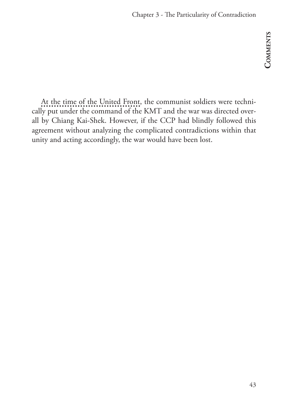At the time of the United Front, the communist soldiers were technically put under the command of the KMT and the war was directed overall by Chiang Kai-Shek. However, if the CCP had blindly followed this agreement without analyzing the complicated contradictions within that unity and acting accordingly, the war would have been lost.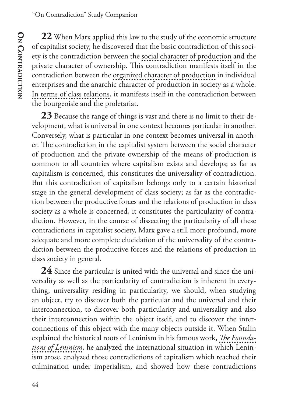**22** When Marx applied this law to the study of the economic structure of capitalist society, he discovered that the basic contradiction of this society is the contradiction between the social character of production and the private character of ownership. This contradiction manifests itself in the contradiction between the organized character of production in individual enterprises and the anarchic character of production in society as a whole. In terms of class relations, it manifests itself in the contradiction between the bourgeoisie and the proletariat.

**23** Because the range of things is vast and there is no limit to their development, what is universal in one context becomes particular in another. Conversely, what is particular in one context becomes universal in another. The contradiction in the capitalist system between the social character of production and the private ownership of the means of production is common to all countries where capitalism exists and develops; as far as capitalism is concerned, this constitutes the universality of contradiction. But this contradiction of capitalism belongs only to a certain historical stage in the general development of class society; as far as the contradiction between the productive forces and the relations of production in class society as a whole is concerned, it constitutes the particularity of contradiction. However, in the course of dissecting the particularity of all these contradictions in capitalist society, Marx gave a still more profound, more adequate and more complete elucidation of the universality of the contradiction between the productive forces and the relations of production in class society in general.

**24** Since the particular is united with the universal and since the universality as well as the particularity of contradiction is inherent in everything, universality residing in particularity, we should, when studying an object, try to discover both the particular and the universal and their interconnection, to discover both particularity and universality and also their interconnection within the object itself, and to discover the interconnections of this object with the many objects outside it. When Stalin explained the historical roots of Leninism in his famous work, *The Foundations of Leninism*, he analyzed the international situation in which Leninism arose, analyzed those contradictions of capitalism which reached their culmination under imperialism, and showed how these contradictions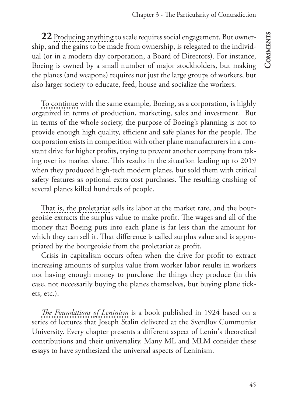**22** Producing anything to scale requires social engagement. But ownership, and the gains to be made from ownership, is relegated to the individual (or in a modern day corporation, a Board of Directors). For instance, Boeing is owned by a small number of major stockholders, but making the planes (and weapons) requires not just the large groups of workers, but also larger society to educate, feed, house and socialize the workers.

To continue with the same example, Boeing, as a corporation, is highly organized in terms of production, marketing, sales and investment. But in terms of the whole society, the purpose of Boeing's planning is not to provide enough high quality, efficient and safe planes for the people. The corporation exists in competition with other plane manufacturers in a constant drive for higher profits, trying to prevent another company from taking over its market share. This results in the situation leading up to 2019 when they produced high-tech modern planes, but sold them with critical safety features as optional extra cost purchases. The resulting crashing of several planes killed hundreds of people.

That is, the proletariat sells its labor at the market rate, and the bourgeoisie extracts the surplus value to make profit. The wages and all of the money that Boeing puts into each plane is far less than the amount for which they can sell it. That difference is called surplus value and is appropriated by the bourgeoisie from the proletariat as profit.

Crisis in capitalism occurs often when the drive for profit to extract increasing amounts of surplus value from worker labor results in workers not having enough money to purchase the things they produce (in this case, not necessarily buying the planes themselves, but buying plane tickets, etc.).

*The Foundations of Leninism* is a book published in 1924 based on a series of lectures that Joseph Stalin delivered at the Sverdlov Communist University. Every chapter presents a different aspect of Lenin's theoretical contributions and their universality. Many ML and MLM consider these essays to have synthesized the universal aspects of Leninism.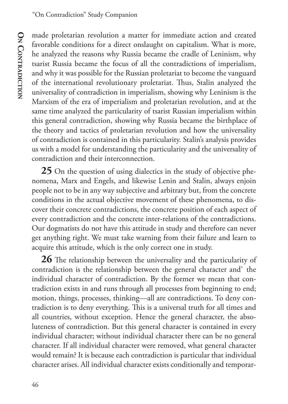made proletarian revolution a matter for immediate action and created favorable conditions for a direct onslaught on capitalism. What is more, he analyzed the reasons why Russia became the cradle of Leninism, why tsarist Russia became the focus of all the contradictions of imperialism, and why it was possible for the Russian proletariat to become the vanguard of the international revolutionary proletariat. Thus, Stalin analyzed the universality of contradiction in imperialism, showing why Leninism is the Marxism of the era of imperialism and proletarian revolution, and at the same time analyzed the particularity of tsarist Russian imperialism within this general contradiction, showing why Russia became the birthplace of the theory and tactics of proletarian revolution and how the universality of contradiction is contained in this particularity. Stalin's analysis provides us with a model for understanding the particularity and the universality of contradiction and their interconnection.

**25** On the question of using dialectics in the study of objective phenomena, Marx and Engels, and likewise Lenin and Stalin, always enjoin people not to be in any way subjective and arbitrary but, from the concrete conditions in the actual objective movement of these phenomena, to discover their concrete contradictions, the concrete position of each aspect of every contradiction and the concrete inter-relations of the contradictions. Our dogmatists do not have this attitude in study and therefore can never get anything right. We must take warning from their failure and learn to acquire this attitude, which is the only correct one in study.

**26** The relationship between the universality and the particularity of contradiction is the relationship between the general character and` the individual character of contradiction. By the former we mean that contradiction exists in and runs through all processes from beginning to end; motion, things, processes, thinking—all are contradictions. To deny contradiction is to deny everything. This is a universal truth for all times and all countries, without exception. Hence the general character, the absoluteness of contradiction. But this general character is contained in every individual character; without individual character there can be no general character. If all individual character were removed, what general character would remain? It is because each contradiction is particular that individual character arises. All individual character exists conditionally and temporar-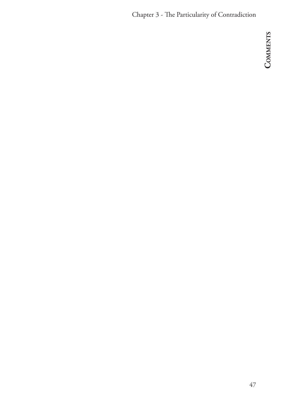## Chapter 3 - The Particularity of Contradiction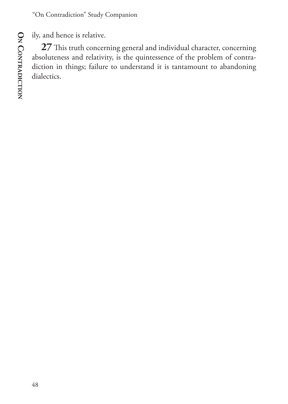ily, and hence is relative.

**27** This truth concerning general and individual character, concerning absoluteness and relativity, is the quintessence of the problem of contradiction in things; failure to understand it is tantamount to abandoning dialectics.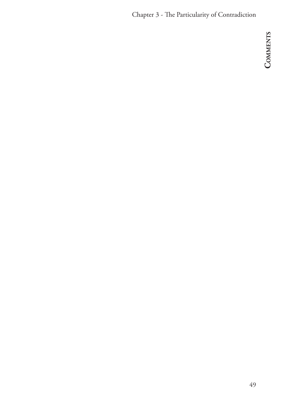## Chapter 3 - The Particularity of Contradiction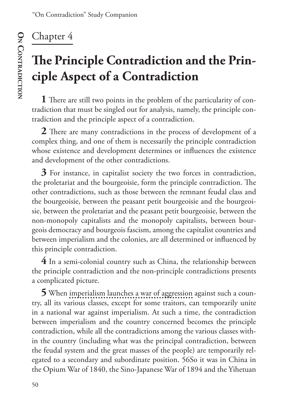# Chapter 4

# **The Principle Contradiction and the Principle Aspect of a Contradiction**

**1** There are still two points in the problem of the particularity of contradiction that must be singled out for analysis, namely, the principle contradiction and the principle aspect of a contradiction.

**2** There are many contradictions in the process of development of a complex thing, and one of them is necessarily the principle contradiction whose existence and development determines or influences the existence and development of the other contradictions.

**3** For instance, in capitalist society the two forces in contradiction, the proletariat and the bourgeoisie, form the principle contradiction. The other contradictions, such as those between the remnant feudal class and the bourgeoisie, between the peasant petit bourgeoisie and the bourgeoisie, between the proletariat and the peasant petit bourgeoisie, between the non-monopoly capitalists and the monopoly capitalists, between bourgeois democracy and bourgeois fascism, among the capitalist countries and between imperialism and the colonies, are all determined or influenced by this principle contradiction.

**4** In a semi-colonial country such as China, the relationship between the principle contradiction and the non-principle contradictions presents a complicated picture.

**5** When imperialism launches a war of aggression against such a country, all its various classes, except for some traitors, can temporarily unite in a national war against imperialism. At such a time, the contradiction between imperialism and the country concerned becomes the principle contradiction, while all the contradictions among the various classes within the country (including what was the principal contradiction, between the feudal system and the great masses of the people) are temporarily relegated to a secondary and subordinate position. 56So it was in China in the Opium War of 1840, the Sino-Japanese War of 1894 and the Yihetuan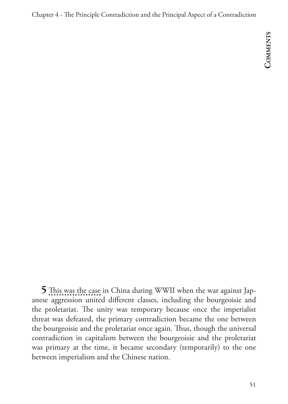#### Chapter 4 - The Principle Contradiction and the Principal Aspect of a Contradiction

**5** This was the case in China during WWII when the war against Japanese aggression united different classes, including the bourgeoisie and the proletariat. The unity was temporary because once the imperialist threat was defeated, the primary contradiction became the one between the bourgeoisie and the proletariat once again. Thus, though the universal contradiction in capitalism between the bourgeoisie and the proletariat was primary at the time, it became secondary (temporarily) to the one between imperialism and the Chinese nation.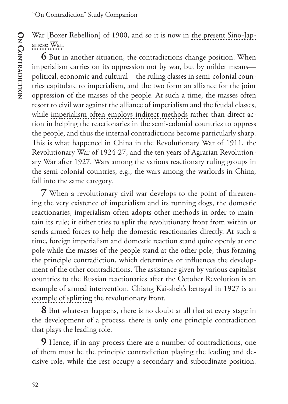War [Boxer Rebellion] of 1900, and so it is now in the present Sino-Japanese War.

**6** But in another situation, the contradictions change position. When imperialism carries on its oppression not by war, but by milder means political, economic and cultural—the ruling classes in semi-colonial countries capitulate to imperialism, and the two form an alliance for the joint oppression of the masses of the people. At such a time, the masses often resort to civil war against the alliance of imperialism and the feudal classes, while imperialism often employs indirect methods rather than direct action in helping the reactionaries in the semi-colonial countries to oppress the people, and thus the internal contradictions become particularly sharp. This is what happened in China in the Revolutionary War of 1911, the Revolutionary War of 1924-27, and the ten years of Agrarian Revolutionary War after 1927. Wars among the various reactionary ruling groups in the semi-colonial countries, e.g., the wars among the warlords in China, fall into the same category.

**7** When a revolutionary civil war develops to the point of threatening the very existence of imperialism and its running dogs, the domestic reactionaries, imperialism often adopts other methods in order to maintain its rule; it either tries to split the revolutionary front from within or sends armed forces to help the domestic reactionaries directly. At such a time, foreign imperialism and domestic reaction stand quite openly at one pole while the masses of the people stand at the other pole, thus forming the principle contradiction, which determines or influences the development of the other contradictions. The assistance given by various capitalist countries to the Russian reactionaries after the October Revolution is an example of armed intervention. Chiang Kai-shek's betrayal in 1927 is an example of splitting the revolutionary front.

**8** But whatever happens, there is no doubt at all that at every stage in the development of a process, there is only one principle contradiction that plays the leading role.

**9** Hence, if in any process there are a number of contradictions, one of them must be the principle contradiction playing the leading and decisive role, while the rest occupy a secondary and subordinate position.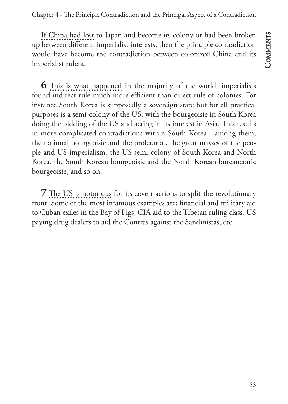If China had lost to Japan and become its colony or had been broken up between different imperialist interests, then the principle contradiction would have become the contradiction between colonized China and its imperialist rulers.

**6** This is what happened in the majority of the world: imperialists found indirect rule much more efficient than direct rule of colonies. For instance South Korea is supposedly a sovereign state but for all practical purposes is a semi-colony of the US, with the bourgeoisie in South Korea doing the bidding of the US and acting in its interest in Asia. This results in more complicated contradictions within South Korea—among them, the national bourgeoisie and the proletariat, the great masses of the people and US imperialism, the US semi-colony of South Korea and North Korea, the South Korean bourgeoisie and the North Korean bureaucratic bourgeoisie, and so on.

**7** The US is notorious for its covert actions to split the revolutionary front. Some of the most infamous examples are: financial and military aid to Cuban exiles in the Bay of Pigs, CIA aid to the Tibetan ruling class, US paying drug dealers to aid the Contras against the Sandinistas, etc.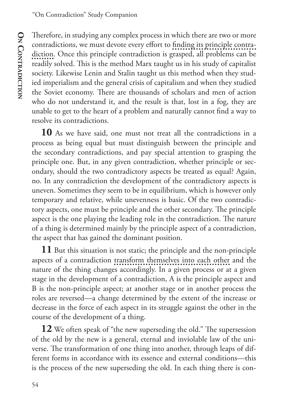Therefore, in studying any complex process in which there are two or more contradictions, we must devote every effort to finding its principle contradiction. Once this principle contradiction is grasped, all problems can be readily solved. This is the method Marx taught us in his study of capitalist society. Likewise Lenin and Stalin taught us this method when they studied imperialism and the general crisis of capitalism and when they studied the Soviet economy. There are thousands of scholars and men of action who do not understand it, and the result is that, lost in a fog, they are unable to get to the heart of a problem and naturally cannot find a way to resolve its contradictions.

**10** As we have said, one must not treat all the contradictions in a process as being equal but must distinguish between the principle and the secondary contradictions, and pay special attention to grasping the principle one. But, in any given contradiction, whether principle or secondary, should the two contradictory aspects be treated as equal? Again, no. In any contradiction the development of the contradictory aspects is uneven. Sometimes they seem to be in equilibrium, which is however only temporary and relative, while unevenness is basic. Of the two contradictory aspects, one must be principle and the other secondary. The principle aspect is the one playing the leading role in the contradiction. The nature of a thing is determined mainly by the principle aspect of a contradiction, the aspect that has gained the dominant position.

**11** But this situation is not static; the principle and the non-principle aspects of a contradiction transform themselves into each other and the nature of the thing changes accordingly. In a given process or at a given stage in the development of a contradiction, A is the principle aspect and B is the non-principle aspect; at another stage or in another process the roles are reversed—a change determined by the extent of the increase or decrease in the force of each aspect in its struggle against the other in the course of the development of a thing.

12 We often speak of "the new superseding the old." The supersession of the old by the new is a general, eternal and inviolable law of the universe. The transformation of one thing into another, through leaps of different forms in accordance with its essence and external conditions—this is the process of the new superseding the old. In each thing there is con-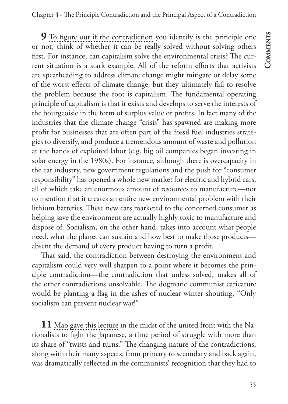**9** To figure out if the contradiction you identify is the principle one or not, think of whether it can be really solved without solving others first. For instance, can capitalism solve the environmental crisis? The current situation is a stark example. All of the reform efforts that activists are spearheading to address climate change might mitigate or delay some of the worst effects of climate change, but they ultimately fail to resolve the problem because the root is capitalism. The fundamental operating principle of capitalism is that it exists and develops to serve the interests of the bourgeoisie in the form of surplus value or profits. In fact many of the industries that the climate change "crisis" has spawned are making more profit for businesses that are often part of the fossil fuel industries strategies to diversify, and produce a tremendous amount of waste and pollution at the hands of exploited labor (e.g. big oil companies began investing in solar energy in the 1980s). For instance, although there is overcapacity in the car industry, new government regulations and the push for "consumer responsibility" has opened a whole new market for electric and hybrid cars, all of which take an enormous amount of resources to manufacture—not to mention that it creates an entire new environmental problem with their lithium batteries. These new cars marketed to the concerned consumer as helping save the environment are actually highly toxic to manufacture and dispose of. Socialism, on the other hand, takes into account what people need, what the planet can sustain and how best to make those products absent the demand of every product having to turn a profit.

That said, the contradiction between destroying the environment and capitalism could very well sharpen to a point where it becomes the principle contradiction—the contradiction that unless solved, makes all of the other contradictions unsolvable. The dogmatic communist caricature would be planting a flag in the ashes of nuclear winter shouting, "Only socialism can prevent nuclear war!"

**11** Mao gave this lecture in the midst of the united front with the Nationalists to fight the Japanese, a time period of struggle with more than its share of "twists and turns." The changing nature of the contradictions, along with their many aspects, from primary to secondary and back again, was dramatically reflected in the communists' recognition that they had to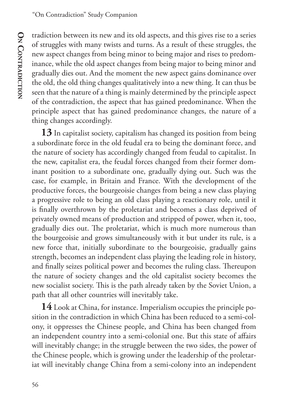tradiction between its new and its old aspects, and this gives rise to a series of struggles with many twists and turns. As a result of these struggles, the new aspect changes from being minor to being major and rises to predominance, while the old aspect changes from being major to being minor and gradually dies out. And the moment the new aspect gains dominance over the old, the old thing changes qualitatively into a new thing. It can thus be seen that the nature of a thing is mainly determined by the principle aspect of the contradiction, the aspect that has gained predominance. When the principle aspect that has gained predominance changes, the nature of a thing changes accordingly.

**13** In capitalist society, capitalism has changed its position from being a subordinate force in the old feudal era to being the dominant force, and the nature of society has accordingly changed from feudal to capitalist. In the new, capitalist era, the feudal forces changed from their former dominant position to a subordinate one, gradually dying out. Such was the case, for example, in Britain and France. With the development of the productive forces, the bourgeoisie changes from being a new class playing a progressive role to being an old class playing a reactionary role, until it is finally overthrown by the proletariat and becomes a class deprived of privately owned means of production and stripped of power, when it, too, gradually dies out. The proletariat, which is much more numerous than the bourgeoisie and grows simultaneously with it but under its rule, is a new force that, initially subordinate to the bourgeoisie, gradually gains strength, becomes an independent class playing the leading role in history, and finally seizes political power and becomes the ruling class. Thereupon the nature of society changes and the old capitalist society becomes the new socialist society. This is the path already taken by the Soviet Union, a path that all other countries will inevitably take.

**14** Look at China, for instance. Imperialism occupies the principle position in the contradiction in which China has been reduced to a semi-colony, it oppresses the Chinese people, and China has been changed from an independent country into a semi-colonial one. But this state of affairs will inevitably change; in the struggle between the two sides, the power of the Chinese people, which is growing under the leadership of the proletariat will inevitably change China from a semi-colony into an independent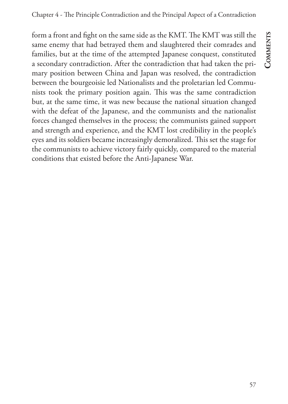form a front and fight on the same side as the KMT. The KMT was still the same enemy that had betrayed them and slaughtered their comrades and families, but at the time of the attempted Japanese conquest, constituted a secondary contradiction. After the contradiction that had taken the primary position between China and Japan was resolved, the contradiction between the bourgeoisie led Nationalists and the proletarian led Communists took the primary position again. This was the same contradiction but, at the same time, it was new because the national situation changed with the defeat of the Japanese, and the communists and the nationalist forces changed themselves in the process; the communists gained support and strength and experience, and the KMT lost credibility in the people's eyes and its soldiers became increasingly demoralized. This set the stage for the communists to achieve victory fairly quickly, compared to the material conditions that existed before the Anti-Japanese War.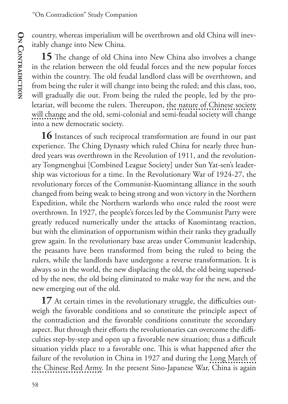country, whereas imperialism will be overthrown and old China will inevitably change into New China.

**15** The change of old China into New China also involves a change in the relation between the old feudal forces and the new popular forces within the country. The old feudal landlord class will be overthrown, and from being the ruler it will change into being the ruled; and this class, too, will gradually die out. From being the ruled the people, led by the proletariat, will become the rulers. Thereupon, the nature of Chinese society will change and the old, semi-colonial and semi-feudal society will change into a new democratic society.

**16** Instances of such reciprocal transformation are found in our past experience. The Ching Dynasty which ruled China for nearly three hundred years was overthrown in the Revolution of 1911, and the revolutionary Tongmenghui [Combined League Society] under Sun Yat-sen's leadership was victorious for a time. In the Revolutionary War of 1924-27, the revolutionary forces of the Communist-Kuomintang alliance in the south changed from being weak to being strong and won victory in the Northern Expedition, while the Northern warlords who once ruled the roost were overthrown. In 1927, the people's forces led by the Communist Party were greatly reduced numerically under the attacks of Kuomintang reaction, but with the elimination of opportunism within their ranks they gradually grew again. In the revolutionary base areas under Communist leadership, the peasants have been transformed from being the ruled to being the rulers, while the landlords have undergone a reverse transformation. It is always so in the world, the new displacing the old, the old being superseded by the new, the old being eliminated to make way for the new, and the new emerging out of the old.

**17** At certain times in the revolutionary struggle, the difficulties outweigh the favorable conditions and so constitute the principle aspect of the contradiction and the favorable conditions constitute the secondary aspect. But through their efforts the revolutionaries can overcome the difficulties step-by-step and open up a favorable new situation; thus a difficult situation yields place to a favorable one. This is what happened after the failure of the revolution in China in 1927 and during the Long March of the Chinese Red Army. In the present Sino-Japanese War, China is again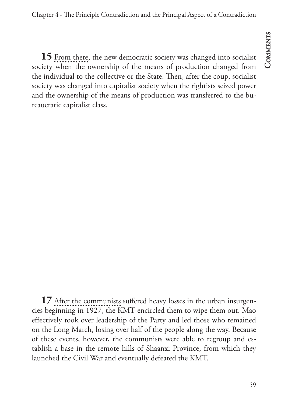15 From there, the new democratic society was changed into socialist society when the ownership of the means of production changed from the individual to the collective or the State. Then, after the coup, socialist society was changed into capitalist society when the rightists seized power and the ownership of the means of production was transferred to the bureaucratic capitalist class.

**17** After the communists suffered heavy losses in the urban insurgencies beginning in 1927, the KMT encircled them to wipe them out. Mao effectively took over leadership of the Party and led those who remained on the Long March, losing over half of the people along the way. Because of these events, however, the communists were able to regroup and establish a base in the remote hills of Shaanxi Province, from which they launched the Civil War and eventually defeated the KMT.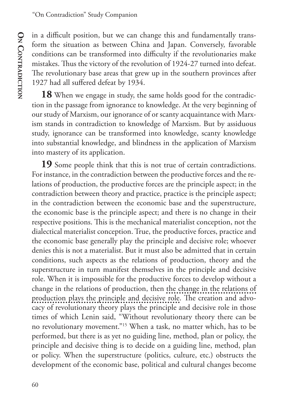in a difficult position, but we can change this and fundamentally transform the situation as between China and Japan. Conversely, favorable conditions can be transformed into difficulty if the revolutionaries make mistakes. Thus the victory of the revolution of 1924-27 turned into defeat. The revolutionary base areas that grew up in the southern provinces after 1927 had all suffered defeat by 1934.

**18** When we engage in study, the same holds good for the contradiction in the passage from ignorance to knowledge. At the very beginning of our study of Marxism, our ignorance of or scanty acquaintance with Marxism stands in contradiction to knowledge of Marxism. But by assiduous study, ignorance can be transformed into knowledge, scanty knowledge into substantial knowledge, and blindness in the application of Marxism into mastery of its application.

**19** Some people think that this is not true of certain contradictions. For instance, in the contradiction between the productive forces and the relations of production, the productive forces are the principle aspect; in the contradiction between theory and practice, practice is the principle aspect; in the contradiction between the economic base and the superstructure, the economic base is the principle aspect; and there is no change in their respective positions. This is the mechanical materialist conception, not the dialectical materialist conception. True, the productive forces, practice and the economic base generally play the principle and decisive role; whoever denies this is not a materialist. But it must also be admitted that in certain conditions, such aspects as the relations of production, theory and the superstructure in turn manifest themselves in the principle and decisive role. When it is impossible for the productive forces to develop without a change in the relations of production, then the change in the relations of production plays the principle and decisive role. The creation and advocacy of revolutionary theory plays the principle and decisive role in those times of which Lenin said, "Without revolutionary theory there can be no revolutionary movement."15 When a task, no matter which, has to be performed, but there is as yet no guiding line, method, plan or policy, the principle and decisive thing is to decide on a guiding line, method, plan or policy. When the superstructure (politics, culture, etc.) obstructs the development of the economic base, political and cultural changes become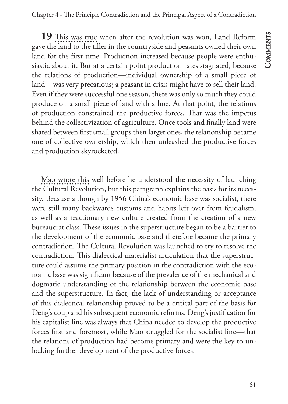**19** This was true when after the revolution was won, Land Reform gave the land to the tiller in the countryside and peasants owned their own land for the first time. Production increased because people were enthusiastic about it. But at a certain point production rates stagnated, because the relations of production—individual ownership of a small piece of land—was very precarious; a peasant in crisis might have to sell their land. Even if they were successful one season, there was only so much they could produce on a small piece of land with a hoe. At that point, the relations of production constrained the productive forces. That was the impetus behind the collectivization of agriculture. Once tools and finally land were shared between first small groups then larger ones, the relationship became one of collective ownership, which then unleashed the productive forces and production skyrocketed.

Mao wrote this well before he understood the necessity of launching the Cultural Revolution, but this paragraph explains the basis for its necessity. Because although by 1956 China's economic base was socialist, there were still many backwards customs and habits left over from feudalism, as well as a reactionary new culture created from the creation of a new bureaucrat class. These issues in the superstructure began to be a barrier to the development of the economic base and therefore became the primary contradiction. The Cultural Revolution was launched to try to resolve the contradiction. This dialectical materialist articulation that the superstructure could assume the primary position in the contradiction with the economic base was significant because of the prevalence of the mechanical and dogmatic understanding of the relationship between the economic base and the superstructure. In fact, the lack of understanding or acceptance of this dialectical relationship proved to be a critical part of the basis for Deng's coup and his subsequent economic reforms. Deng's justification for his capitalist line was always that China needed to develop the productive forces first and foremost, while Mao struggled for the socialist line—that the relations of production had become primary and were the key to unlocking further development of the productive forces.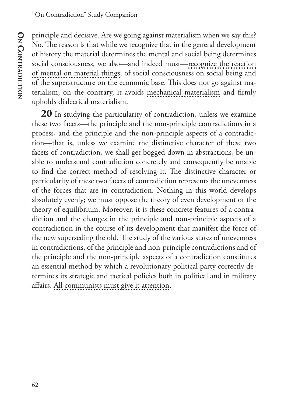principle and decisive. Are we going against materialism when we say this? No. The reason is that while we recognize that in the general development of history the material determines the mental and social being determines social consciousness, we also—and indeed must—recognize the reaction of mental on material things, of social consciousness on social being and of the superstructure on the economic base. This does not go against materialism; on the contrary, it avoids mechanical materialism and firmly upholds dialectical materialism.

**20** In studying the particularity of contradiction, unless we examine these two facets—the principle and the non-principle contradictions in a process, and the principle and the non-principle aspects of a contradiction—that is, unless we examine the distinctive character of these two facets of contradiction, we shall get bogged down in abstractions, be unable to understand contradiction concretely and consequently be unable to find the correct method of resolving it. The distinctive character or particularity of these two facets of contradiction represents the unevenness of the forces that are in contradiction. Nothing in this world develops absolutely evenly; we must oppose the theory of even development or the theory of equilibrium. Moreover, it is these concrete features of a contradiction and the changes in the principle and non-principle aspects of a contradiction in the course of its development that manifest the force of the new superseding the old. The study of the various states of unevenness in contradictions, of the principle and non-principle contradictions and of the principle and the non-principle aspects of a contradiction constitutes an essential method by which a revolutionary political party correctly determines its strategic and tactical policies both in political and in military affairs. All communists must give it attention.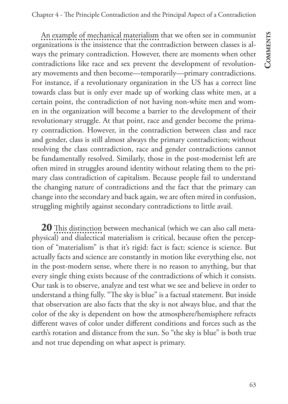An example of mechanical materialism that we often see in communist organizations is the insistence that the contradiction between classes is always the primary contradiction. However, there are moments when other contradictions like race and sex prevent the development of revolutionary movements and then become—temporarily—primary contradictions. For instance, if a revolutionary organization in the US has a correct line towards class but is only ever made up of working class white men, at a certain point, the contradiction of not having non-white men and women in the organization will become a barrier to the development of their revolutionary struggle. At that point, race and gender become the primary contradiction. However, in the contradiction between class and race and gender, class is still almost always the primary contradiction; without resolving the class contradiction, race and gender contradictions cannot be fundamentally resolved. Similarly, those in the post-modernist left are often mired in struggles around identity without relating them to the primary class contradiction of capitalism. Because people fail to understand the changing nature of contradictions and the fact that the primary can change into the secondary and back again, we are often mired in confusion, struggling mightily against secondary contradictions to little avail.

**20** This distinction between mechanical (which we can also call metaphysical) and dialectical materialism is critical, because often the perception of "materialism" is that it's rigid: fact is fact; science is science. But actually facts and science are constantly in motion like everything else, not in the post-modern sense, where there is no reason to anything, but that every single thing exists because of the contradictions of which it consists. Our task is to observe, analyze and test what we see and believe in order to understand a thing fully. "The sky is blue" is a factual statement. But inside that observation are also facts that the sky is not always blue, and that the color of the sky is dependent on how the atmosphere/hemisphere refracts different waves of color under different conditions and forces such as the earth's rotation and distance from the sun. So "the sky is blue" is both true and not true depending on what aspect is primary.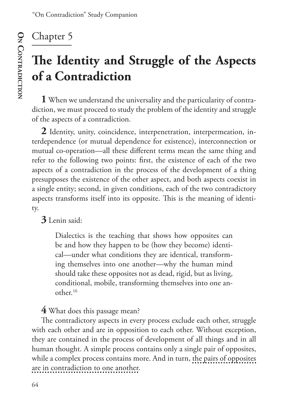# Chapter 5

# **The Identity and Struggle of the Aspects of a Contradiction**

**1** When we understand the universality and the particularity of contradiction, we must proceed to study the problem of the identity and struggle of the aspects of a contradiction.

**2** Identity, unity, coincidence, interpenetration, interpermeation, interdependence (or mutual dependence for existence), interconnection or mutual co-operation—all these different terms mean the same thing and refer to the following two points: first, the existence of each of the two aspects of a contradiction in the process of the development of a thing presupposes the existence of the other aspect, and both aspects coexist in a single entity; second, in given conditions, each of the two contradictory aspects transforms itself into its opposite. This is the meaning of identity.

## **3** Lenin said:

Dialectics is the teaching that shows how opposites can be and how they happen to be (how they become) identical—under what conditions they are identical, transforming themselves into one another—why the human mind should take these opposites not as dead, rigid, but as living, conditional, mobile, transforming themselves into one another.16

**4** What does this passage mean?

The contradictory aspects in every process exclude each other, struggle with each other and are in opposition to each other. Without exception, they are contained in the process of development of all things and in all human thought. A simple process contains only a single pair of opposites, while a complex process contains more. And in turn, the pairs of opposites are in contradiction to one another.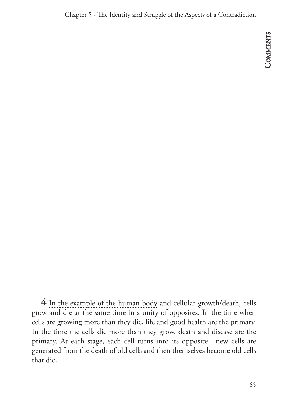### Chapter 5 - The Identity and Struggle of the Aspects of a Contradiction

**4** In the example of the human body and cellular growth/death, cells grow and die at the same time in a unity of opposites. In the time when cells are growing more than they die, life and good health are the primary. In the time the cells die more than they grow, death and disease are the primary. At each stage, each cell turns into its opposite—new cells are generated from the death of old cells and then themselves become old cells that die.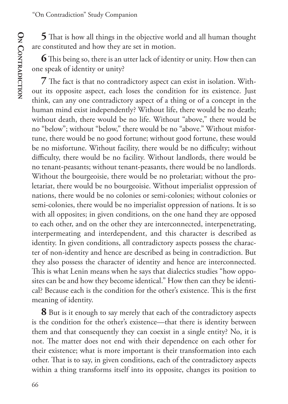**5** That is how all things in the objective world and all human thought are constituted and how they are set in motion.

**6** This being so, there is an utter lack of identity or unity. How then can one speak of identity or unity?

**7** The fact is that no contradictory aspect can exist in isolation. Without its opposite aspect, each loses the condition for its existence. Just think, can any one contradictory aspect of a thing or of a concept in the human mind exist independently? Without life, there would be no death; without death, there would be no life. Without "above," there would be no "below"; without "below," there would be no "above." Without misfortune, there would be no good fortune; without good fortune, these would be no misfortune. Without facility, there would be no difficulty; without difficulty, there would be no facility. Without landlords, there would be no tenant-peasants; without tenant-peasants, there would be no landlords. Without the bourgeoisie, there would be no proletariat; without the proletariat, there would be no bourgeoisie. Without imperialist oppression of nations, there would be no colonies or semi-colonies; without colonies or semi-colonies, there would be no imperialist oppression of nations. It is so with all opposites; in given conditions, on the one hand they are opposed to each other, and on the other they are interconnected, interpenetrating, interpermeating and interdependent, and this character is described as identity. In given conditions, all contradictory aspects possess the character of non-identity and hence are described as being in contradiction. But they also possess the character of identity and hence are interconnected. This is what Lenin means when he says that dialectics studies "how opposites can be and how they become identical." How then can they be identical? Because each is the condition for the other's existence. This is the first meaning of identity.

**8** But is it enough to say merely that each of the contradictory aspects is the condition for the other's existence—that there is identity between them and that consequently they can coexist in a single entity? No, it is not. The matter does not end with their dependence on each other for their existence; what is more important is their transformation into each other. That is to say, in given conditions, each of the contradictory aspects within a thing transforms itself into its opposite, changes its position to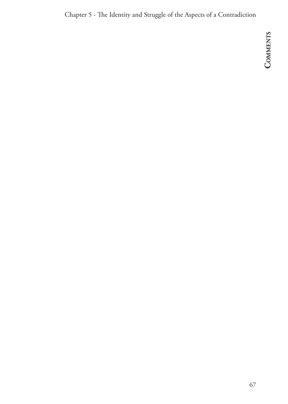## Chapter 5 - The Identity and Struggle of the Aspects of a Contradiction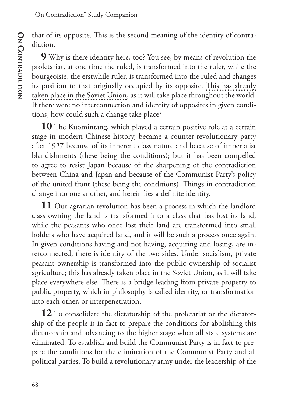that of its opposite. This is the second meaning of the identity of contradiction.

**9** Why is there identity here, too? You see, by means of revolution the proletariat, at one time the ruled, is transformed into the ruler, while the bourgeoisie, the erstwhile ruler, is transformed into the ruled and changes its position to that originally occupied by its opposite. This has already taken place in the Soviet Union, as it will take place throughout the world. If there were no interconnection and identity of opposites in given conditions, how could such a change take place?

**10** The Kuomintang, which played a certain positive role at a certain stage in modern Chinese history, became a counter-revolutionary party after 1927 because of its inherent class nature and because of imperialist blandishments (these being the conditions); but it has been compelled to agree to resist Japan because of the sharpening of the contradiction between China and Japan and because of the Communist Party's policy of the united front (these being the conditions). Things in contradiction change into one another, and herein lies a definite identity.

**11** Our agrarian revolution has been a process in which the landlord class owning the land is transformed into a class that has lost its land, while the peasants who once lost their land are transformed into small holders who have acquired land, and it will be such a process once again. In given conditions having and not having, acquiring and losing, are interconnected; there is identity of the two sides. Under socialism, private peasant ownership is transformed into the public ownership of socialist agriculture; this has already taken place in the Soviet Union, as it will take place everywhere else. There is a bridge leading from private property to public property, which in philosophy is called identity, or transformation into each other, or interpenetration.

**12** To consolidate the dictatorship of the proletariat or the dictatorship of the people is in fact to prepare the conditions for abolishing this dictatorship and advancing to the higher stage when all state systems are eliminated. To establish and build the Communist Party is in fact to prepare the conditions for the elimination of the Communist Party and all political parties. To build a revolutionary army under the leadership of the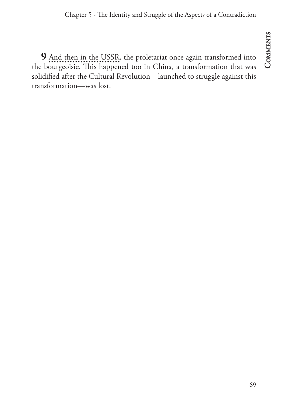**9** And then in the USSR, the proletariat once again transformed into the bourgeoisie. This happened too in China, a transformation that was solidified after the Cultural Revolution—launched to struggle against this transformation—was lost.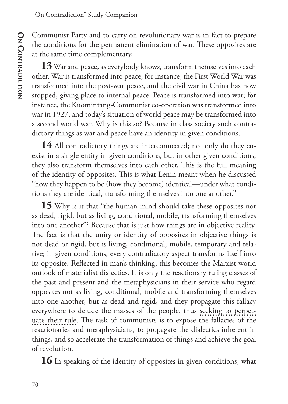Communist Party and to carry on revolutionary war is in fact to prepare the conditions for the permanent elimination of war. These opposites are at the same time complementary.

**13** War and peace, as everybody knows, transform themselves into each other. War is transformed into peace; for instance, the First World War was transformed into the post-war peace, and the civil war in China has now stopped, giving place to internal peace. Peace is transformed into war; for instance, the Kuomintang-Communist co-operation was transformed into war in 1927, and today's situation of world peace may be transformed into a second world war. Why is this so? Because in class society such contradictory things as war and peace have an identity in given conditions.

14 All contradictory things are interconnected; not only do they coexist in a single entity in given conditions, but in other given conditions, they also transform themselves into each other. This is the full meaning of the identity of opposites. This is what Lenin meant when he discussed "how they happen to be (how they become) identical—under what conditions they are identical, transforming themselves into one another."

15 Why is it that "the human mind should take these opposites not as dead, rigid, but as living, conditional, mobile, transforming themselves into one another"? Because that is just how things are in objective reality. The fact is that the unity or identity of opposites in objective things is not dead or rigid, but is living, conditional, mobile, temporary and relative; in given conditions, every contradictory aspect transforms itself into its opposite. Reflected in man's thinking, this becomes the Marxist world outlook of materialist dialectics. It is only the reactionary ruling classes of the past and present and the metaphysicians in their service who regard opposites not as living, conditional, mobile and transforming themselves into one another, but as dead and rigid, and they propagate this fallacy everywhere to delude the masses of the people, thus seeking to perpetuate their rule. The task of communists is to expose the fallacies of the reactionaries and metaphysicians, to propagate the dialectics inherent in things, and so accelerate the transformation of things and achieve the goal of revolution.

16 In speaking of the identity of opposites in given conditions, what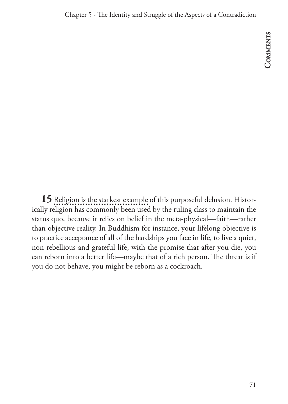**15** Religion is the starkest example of this purposeful delusion. Historically religion has commonly been used by the ruling class to maintain the status quo, because it relies on belief in the meta-physical—faith—rather than objective reality. In Buddhism for instance, your lifelong objective is to practice acceptance of all of the hardships you face in life, to live a quiet, non-rebellious and grateful life, with the promise that after you die, you can reborn into a better life—maybe that of a rich person. The threat is if you do not behave, you might be reborn as a cockroach.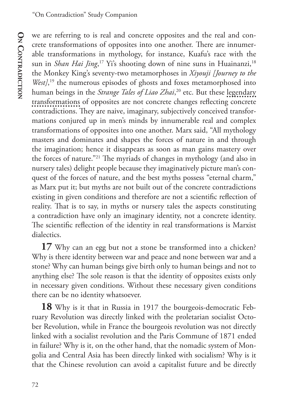we are referring to is real and concrete opposites and the real and concrete transformations of opposites into one another. There are innumerable transformations in mythology, for instance, Kuafu's race with the sun in *Shan Hai Jing*, 17 Yi's shooting down of nine suns in Huainanzi,18 the Monkey King's seventy-two metamorphoses in *Xiyouji [Journey to the West*],<sup>19</sup> the numerous episodes of ghosts and foxes metamorphosed into human beings in the *Strange Tales of Liao Zhai*, 20 etc. But these legendary transformations of opposites are not concrete changes reflecting concrete contradictions. They are naive, imaginary, subjectively conceived transformations conjured up in men's minds by innumerable real and complex transformations of opposites into one another. Marx said, "All mythology masters and dominates and shapes the forces of nature in and through the imagination; hence it disappears as soon as man gains mastery over the forces of nature."21 The myriads of changes in mythology (and also in nursery tales) delight people because they imaginatively picture man's conquest of the forces of nature, and the best myths possess "eternal charm," as Marx put it; but myths are not built out of the concrete contradictions existing in given conditions and therefore are not a scientific reflection of reality. That is to say, in myths or nursery tales the aspects constituting a contradiction have only an imaginary identity, not a concrete identity. The scientific reflection of the identity in real transformations is Marxist dialectics.

**17** Why can an egg but not a stone be transformed into a chicken? Why is there identity between war and peace and none between war and a stone? Why can human beings give birth only to human beings and not to anything else? The sole reason is that the identity of opposites exists only in necessary given conditions. Without these necessary given conditions there can be no identity whatsoever.

**18** Why is it that in Russia in 1917 the bourgeois-democratic February Revolution was directly linked with the proletarian socialist October Revolution, while in France the bourgeois revolution was not directly linked with a socialist revolution and the Paris Commune of 1871 ended in failure? Why is it, on the other hand, that the nomadic system of Mongolia and Central Asia has been directly linked with socialism? Why is it that the Chinese revolution can avoid a capitalist future and be directly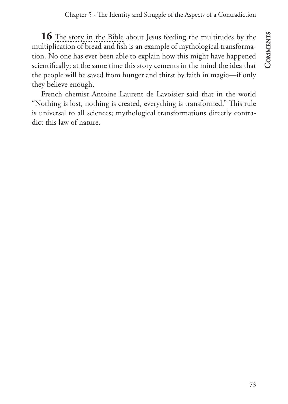16 The story in the Bible about Jesus feeding the multitudes by the multiplication of bread and fish is an example of mythological transformation. No one has ever been able to explain how this might have happened scientifically; at the same time this story cements in the mind the idea that the people will be saved from hunger and thirst by faith in magic—if only they believe enough.

French chemist Antoine Laurent de Lavoisier said that in the world "Nothing is lost, nothing is created, everything is transformed." This rule is universal to all sciences; mythological transformations directly contradict this law of nature.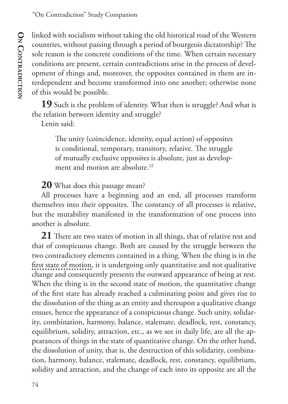linked with socialism without taking the old historical road of the Western countries, without passing through a period of bourgeois dictatorship? The sole reason is the concrete conditions of the time. When certain necessary conditions are present, certain contradictions arise in the process of development of things and, moreover, the opposites contained in them are interdependent and become transformed into one another; otherwise none of this would be possible.

**19** Such is the problem of identity. What then is struggle? And what is the relation between identity and struggle?

Lenin said:

The unity (coincidence, identity, equal action) of opposites is conditional, temporary, transitory, relative. The struggle of mutually exclusive opposites is absolute, just as development and motion are absolute.<sup>22</sup>

**20** What does this passage mean?

All processes have a beginning and an end, all processes transform themselves into their opposites. The constancy of all processes is relative, but the mutability manifested in the transformation of one process into another is absolute.

**21** There are two states of motion in all things, that of relative rest and that of conspicuous change. Both are caused by the struggle between the two contradictory elements contained in a thing. When the thing is in the first state of motion, it is undergoing only quantitative and not qualitative change and consequently presents the outward appearance of being at rest. When the thing is in the second state of motion, the quantitative change of the first state has already reached a culminating point and gives rise to the dissolution of the thing as an entity and thereupon a qualitative change ensues, hence the appearance of a conspicuous change. Such unity, solidarity, combination, harmony, balance, stalemate, deadlock, rest, constancy, equilibrium, solidity, attraction, etc., as we see in daily life, are all the appearances of things in the state of quantitative change. On the other hand, the dissolution of unity, that is, the destruction of this solidarity, combination, harmony, balance, stalemate, deadlock, rest, constancy, equilibrium, solidity and attraction, and the change of each into its opposite are all the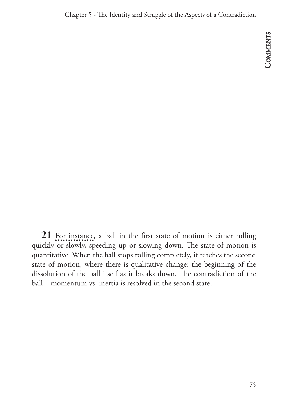#### Chapter 5 - The Identity and Struggle of the Aspects of a Contradiction

**21** For instance, a ball in the first state of motion is either rolling quickly or slowly, speeding up or slowing down. The state of motion is quantitative. When the ball stops rolling completely, it reaches the second state of motion, where there is qualitative change: the beginning of the dissolution of the ball itself as it breaks down. The contradiction of the ball—momentum vs. inertia is resolved in the second state.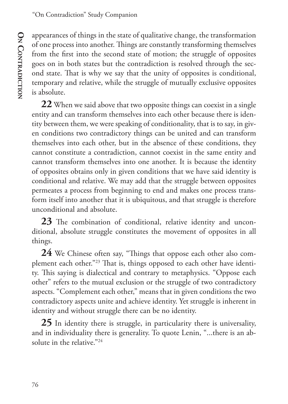appearances of things in the state of qualitative change, the transformation of one process into another. Things are constantly transforming themselves from the first into the second state of motion; the struggle of opposites goes on in both states but the contradiction is resolved through the second state. That is why we say that the unity of opposites is conditional, temporary and relative, while the struggle of mutually exclusive opposites is absolute.

**22** When we said above that two opposite things can coexist in a single entity and can transform themselves into each other because there is identity between them, we were speaking of conditionality, that is to say, in given conditions two contradictory things can be united and can transform themselves into each other, but in the absence of these conditions, they cannot constitute a contradiction, cannot coexist in the same entity and cannot transform themselves into one another. It is because the identity of opposites obtains only in given conditions that we have said identity is conditional and relative. We may add that the struggle between opposites permeates a process from beginning to end and makes one process transform itself into another that it is ubiquitous, and that struggle is therefore unconditional and absolute.

**23** The combination of conditional, relative identity and unconditional, absolute struggle constitutes the movement of opposites in all things.

**24** We Chinese often say, "Things that oppose each other also complement each other."23 That is, things opposed to each other have identity. This saying is dialectical and contrary to metaphysics. "Oppose each other" refers to the mutual exclusion or the struggle of two contradictory aspects. "Complement each other," means that in given conditions the two contradictory aspects unite and achieve identity. Yet struggle is inherent in identity and without struggle there can be no identity.

**25** In identity there is struggle, in particularity there is universality, and in individuality there is generality. To quote Lenin, "...there is an absolute in the relative."24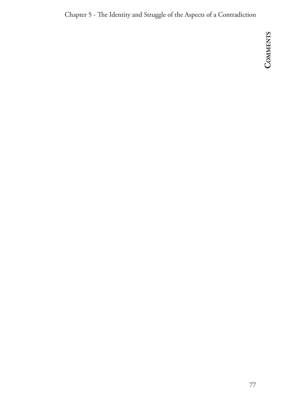### Chapter 5 - The Identity and Struggle of the Aspects of a Contradiction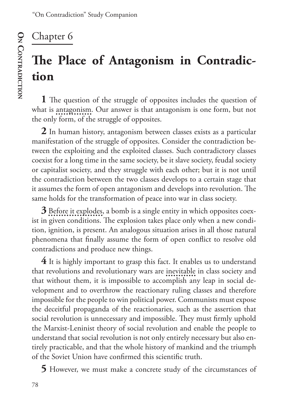### Chapter 6

# **The Place of Antagonism in Contradiction**

**1** The question of the struggle of opposites includes the question of what is antagonism. Our answer is that antagonism is one form, but not the only form, of the struggle of opposites.

**2** In human history, antagonism between classes exists as a particular manifestation of the struggle of opposites. Consider the contradiction between the exploiting and the exploited classes. Such contradictory classes coexist for a long time in the same society, be it slave society, feudal society or capitalist society, and they struggle with each other; but it is not until the contradiction between the two classes develops to a certain stage that it assumes the form of open antagonism and develops into revolution. The same holds for the transformation of peace into war in class society.

**3** Before it explodes, a bomb is a single entity in which opposites coexist in given conditions. The explosion takes place only when a new condition, ignition, is present. An analogous situation arises in all those natural phenomena that finally assume the form of open conflict to resolve old contradictions and produce new things.

**4** It is highly important to grasp this fact. It enables us to understand that revolutions and revolutionary wars are inevitable in class society and that without them, it is impossible to accomplish any leap in social development and to overthrow the reactionary ruling classes and therefore impossible for the people to win political power. Communists must expose the deceitful propaganda of the reactionaries, such as the assertion that social revolution is unnecessary and impossible. They must firmly uphold the Marxist-Leninist theory of social revolution and enable the people to understand that social revolution is not only entirely necessary but also entirely practicable, and that the whole history of mankind and the triumph of the Soviet Union have confirmed this scientific truth.

**5** However, we must make a concrete study of the circumstances of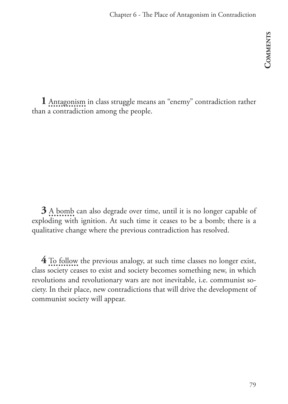**1** Antagonism in class struggle means an "enemy" contradiction rather than a contradiction among the people.

**3** A bomb can also degrade over time, until it is no longer capable of exploding with ignition. At such time it ceases to be a bomb; there is a qualitative change where the previous contradiction has resolved.

**4** To follow the previous analogy, at such time classes no longer exist, class society ceases to exist and society becomes something new, in which revolutions and revolutionary wars are not inevitable, i.e. communist society. In their place, new contradictions that will drive the development of communist society will appear.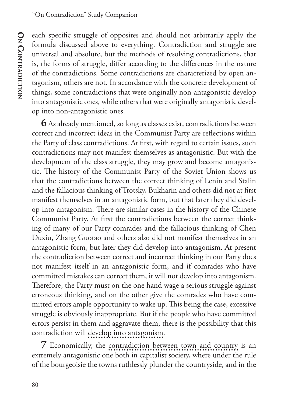each specific struggle of opposites and should not arbitrarily apply the formula discussed above to everything. Contradiction and struggle are universal and absolute, but the methods of resolving contradictions, that is, the forms of struggle, differ according to the differences in the nature of the contradictions. Some contradictions are characterized by open antagonism, others are not. In accordance with the concrete development of things, some contradictions that were originally non-antagonistic develop into antagonistic ones, while others that were originally antagonistic develop into non-antagonistic ones.

**6** As already mentioned, so long as classes exist, contradictions between correct and incorrect ideas in the Communist Party are reflections within the Party of class contradictions. At first, with regard to certain issues, such contradictions may not manifest themselves as antagonistic. But with the development of the class struggle, they may grow and become antagonistic. The history of the Communist Party of the Soviet Union shows us that the contradictions between the correct thinking of Lenin and Stalin and the fallacious thinking of Trotsky, Bukharin and others did not at first manifest themselves in an antagonistic form, but that later they did develop into antagonism. There are similar cases in the history of the Chinese Communist Party. At first the contradictions between the correct thinking of many of our Party comrades and the fallacious thinking of Chen Duxiu, Zhang Guotao and others also did not manifest themselves in an antagonistic form, but later they did develop into antagonism. At present the contradiction between correct and incorrect thinking in our Party does not manifest itself in an antagonistic form, and if comrades who have committed mistakes can correct them, it will not develop into antagonism. Therefore, the Party must on the one hand wage a serious struggle against erroneous thinking, and on the other give the comrades who have committed errors ample opportunity to wake up. This being the case, excessive struggle is obviously inappropriate. But if the people who have committed errors persist in them and aggravate them, there is the possibility that this contradiction will develop into antagonism.

**7** Economically, the contradiction between town and country is an extremely antagonistic one both in capitalist society, where under the rule of the bourgeoisie the towns ruthlessly plunder the countryside, and in the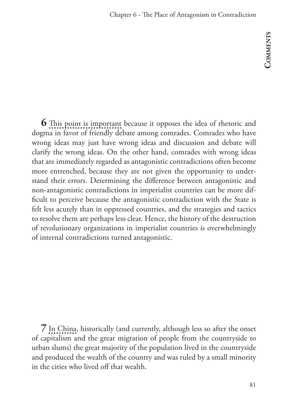**6** This point is important because it opposes the idea of rhetoric and dogma in favor of friendly debate among comrades. Comrades who have wrong ideas may just have wrong ideas and discussion and debate will clarify the wrong ideas. On the other hand, comrades with wrong ideas that are immediately regarded as antagonistic contradictions often become more entrenched, because they are not given the opportunity to understand their errors. Determining the difference between antagonistic and non-antagonistic contradictions in imperialist countries can be more difficult to perceive because the antagonistic contradiction with the State is felt less acutely than in oppressed countries, and the strategies and tactics to resolve them are perhaps less clear. Hence, the history of the destruction of revolutionary organizations in imperialist countries is overwhelmingly of internal contradictions turned antagonistic.

**7** In China, historically (and currently, although less so after the onset of capitalism and the great migration of people from the countryside to urban slums) the great majority of the population lived in the countryside and produced the wealth of the country and was ruled by a small minority in the cities who lived off that wealth.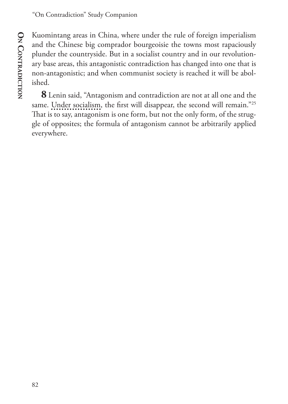Kuomintang areas in China, where under the rule of foreign imperialism and the Chinese big comprador bourgeoisie the towns most rapaciously plunder the countryside. But in a socialist country and in our revolutionary base areas, this antagonistic contradiction has changed into one that is non-antagonistic; and when communist society is reached it will be abolished.

**8** Lenin said, "Antagonism and contradiction are not at all one and the same. Under socialism, the first will disappear, the second will remain."<sup>25</sup> That is to say, antagonism is one form, but not the only form, of the struggle of opposites; the formula of antagonism cannot be arbitrarily applied everywhere.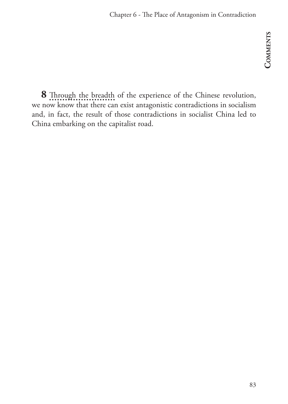**8** Through the breadth of the experience of the Chinese revolution, we now know that there can exist antagonistic contradictions in socialism and, in fact, the result of those contradictions in socialist China led to China embarking on the capitalist road.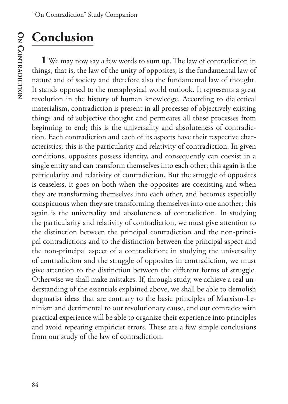## **Conclusion**

**1** We may now say a few words to sum up. The law of contradiction in things, that is, the law of the unity of opposites, is the fundamental law of nature and of society and therefore also the fundamental law of thought. It stands opposed to the metaphysical world outlook. It represents a great revolution in the history of human knowledge. According to dialectical materialism, contradiction is present in all processes of objectively existing things and of subjective thought and permeates all these processes from beginning to end; this is the universality and absoluteness of contradiction. Each contradiction and each of its aspects have their respective characteristics; this is the particularity and relativity of contradiction. In given conditions, opposites possess identity, and consequently can coexist in a single entity and can transform themselves into each other; this again is the particularity and relativity of contradiction. But the struggle of opposites is ceaseless, it goes on both when the opposites are coexisting and when they are transforming themselves into each other, and becomes especially conspicuous when they are transforming themselves into one another; this again is the universality and absoluteness of contradiction. In studying the particularity and relativity of contradiction, we must give attention to the distinction between the principal contradiction and the non-principal contradictions and to the distinction between the principal aspect and the non-principal aspect of a contradiction; in studying the universality of contradiction and the struggle of opposites in contradiction, we must give attention to the distinction between the different forms of struggle. Otherwise we shall make mistakes. If, through study, we achieve a real understanding of the essentials explained above, we shall be able to demolish dogmatist ideas that are contrary to the basic principles of Marxism-Leninism and detrimental to our revolutionary cause, and our comrades with practical experience will be able to organize their experience into principles and avoid repeating empiricist errors. These are a few simple conclusions from our study of the law of contradiction.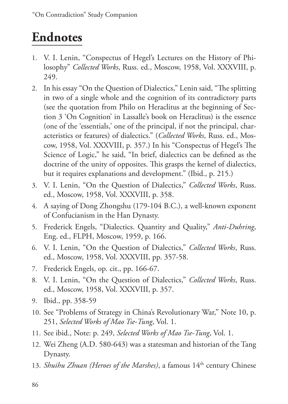# **Endnotes**

- 1. V. I. Lenin, "Conspectus of Hegel's Lectures on the History of Philosophy" *Collected Works*, Russ. ed., Moscow, 1958, Vol. XXXVIII, p. 249.
- 2. In his essay "On the Question of Dialectics," Lenin said, "The splitting in two of a single whole and the cognition of its contradictory parts (see the quotation from Philo on Heraclitus at the beginning of Section 3 'On Cognition' in Lassalle's book on Heraclitus) is the essence (one of the 'essentials,' one of the principal, if not the principal, characteristics or features) of dialectics." (*Collected Works*, Russ. ed., Moscow, 1958, Vol. XXXVIII, p. 357.) In his "Conspectus of Hegel's The Science of Logic," he said, "In brief, dialectics can be defined as the doctrine of the unity of opposites. This grasps the kernel of dialectics, but it requires explanations and development." (Ibid., p. 215.)
- 3. V. I. Lenin, "On the Question of Dialectics," *Collected Works*, Russ. ed., Moscow, 1958, Vol. XXXVIII, p. 358.
- 4. A saying of Dong Zhongshu (179-104 B.C.), a well-known exponent of Confucianism in the Han Dynasty.
- 5. Frederick Engels, "Dialectics. Quantity and Quality," *Anti-Duhring*, Eng. ed., FLPH, Moscow, 1959, p. 166.
- 6. V. I. Lenin, "On the Question of Dialectics," *Collected Works*, Russ. ed., Moscow, 1958, Vol. XXXVIII, pp. 357-58.
- 7. Frederick Engels, op. cit., pp. 166-67.
- 8. V. I. Lenin, "On the Question of Dialectics," *Collected Works*, Russ. ed., Moscow, 1958, Vol. XXXVIII, p. 357.
- 9. Ibid., pp. 358-59
- 10. See "Problems of Strategy in China's Revolutionary War," Note 10, p. 251, *Selected Works of Mao Tse-Tung*, Vol. 1.
- 11. See ibid., Note: p. 249, *Selected Works of Mao Tse-Tung*, Vol. 1.
- 12. Wei Zheng (A.D. 580-643) was a statesman and historian of the Tang Dynasty.
- 13. *Shuihu Zhuan (Heroes of the Marshes)*, a famous 14th century Chinese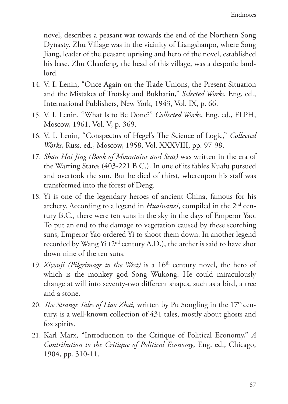novel, describes a peasant war towards the end of the Northern Song Dynasty. Zhu Village was in the vicinity of Liangshanpo, where Song Jiang, leader of the peasant uprising and hero of the novel, established his base. Zhu Chaofeng, the head of this village, was a despotic landlord.

- 14. V. I. Lenin, "Once Again on the Trade Unions, the Present Situation and the Mistakes of Trotsky and Bukharin," *Selected Works*, Eng. ed., International Publishers, New York, 1943, Vol. IX, p. 66.
- 15. V. I. Lenin, "What Is to Be Done?" *Collected Works*, Eng. ed., FLPH, Moscow, 1961, Vol. V, p. 369.
- 16. V. I. Lenin, "Conspectus of Hegel's The Science of Logic," *Collected Works*, Russ. ed., Moscow, 1958, Vol. XXXVIII, pp. 97-98.
- 17. *Shan Hai Jing (Book of Mountains and Seas)* was written in the era of the Warring States (403-221 B.C.). In one of its fables Kuafu pursued and overtook the sun. But he died of thirst, whereupon his staff was transformed into the forest of Deng.
- 18. Yi is one of the legendary heroes of ancient China, famous for his archery. According to a legend in *Huainanzi*, compiled in the 2nd century B.C., there were ten suns in the sky in the days of Emperor Yao. To put an end to the damage to vegetation caused by these scorching suns, Emperor Yao ordered Yi to shoot them down. In another legend recorded by Wang Yi (2<sup>nd</sup> century A.D.), the archer is said to have shot down nine of the ten suns.
- 19. *Xiyouji (Pilgrimage to the West)* is a 16<sup>th</sup> century novel, the hero of which is the monkey god Song Wukong. He could miraculously change at will into seventy-two different shapes, such as a bird, a tree and a stone.
- 20. *The Strange Tales of Liao Zhai*, written by Pu Songling in the 17<sup>th</sup> century, is a well-known collection of 431 tales, mostly about ghosts and fox spirits.
- 21. Karl Marx, "Introduction to the Critique of Political Economy," *A Contribution to the Critique of Political Economy*, Eng. ed., Chicago, 1904, pp. 310-11.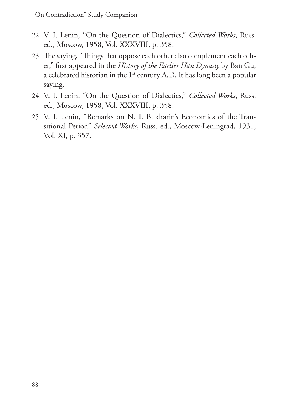"On Contradiction" Study Companion

- 22. V. I. Lenin, "On the Question of Dialectics," *Collected Works*, Russ. ed., Moscow, 1958, Vol. XXXVIII, p. 358.
- 23. The saying, "Things that oppose each other also complement each other," first appeared in the *History of the Earlier Han Dynasty* by Ban Gu, a celebrated historian in the 1<sup>st</sup> century A.D. It has long been a popular saying.
- 24. V. I. Lenin, "On the Question of Dialectics," *Collected Works*, Russ. ed., Moscow, 1958, Vol. XXXVIII, p. 358.
- 25. V. I. Lenin, "Remarks on N. I. Bukharin's Economics of the Transitional Period" *Selected Works*, Russ. ed., Moscow-Leningrad, 1931, Vol. XI, p. 357.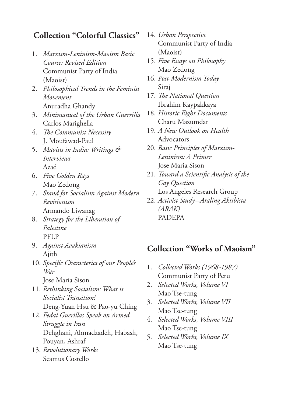### **Collection "Colorful Classics"**

- 1. *Marxism-Leninism-Maoism Basic Course: Revised Edition* Communist Party of India (Maoist)
- 2. *Philosophical Trends in the Feminist Movement* Anuradha Ghandy
- 3. *Minimanual of the Urban Guerrilla* Carlos Marighella
- 4. *The Communist Necessity* J. Moufawad-Paul
- 5. *Maoists in India: Writings & Interviews* Azad
- 6. *Five Golden Rays* Mao Zedong
- 7. *Stand for Socialism Against Modern Revisionism* Armando Liwanag
- 8. *Strategy for the Liberation of Palestine* PFLP
- 9. *Against Avakianism* Ajith
- 10. *Specific Characterics of our People's War* Jose Maria Sison
- 11. *Rethinking Socialism: What is Socialist Transition?* Deng-Yuan Hsu & Pao-yu Ching
- 12. *Fedai Guerillas Speak on Armed Struggle in Iran* Dehghani, Ahmadzadeh, Habash, Pouyan, Ashraf
- 13. *Revolutionary Works* Seamus Costello
- 14. *Urban Perspective* Communist Party of India (Maoist)
- 15. *Five Essays on Philosophy* Mao Zedong
- 16. *Post-Modernism Today* Siraj
- 17. *The National Question* Ibrahim Kaypakkaya
- 18. *Historic Eight Documents* Charu Mazumdar
- 19. *A New Outlook on Health* Advocators
- 20. *Basic Principles of Marxism-Leninism: A Primer* Jose Maria Sison
- 21. *Toward a Scientific Analysis of the Gay Question* Los Angeles Research Group
- 22. *Activist Study-Araling Aktibista (ARAK)* PADEPA

### **Collection "Works of Maoism"**

- 1. *Collected Works (1968-1987)* Communist Party of Peru
- 2. *Selected Works, Volume VI* Mao Tse-tung
- 3. *Selected Works, Volume VII* Mao Tse-tung
- 4. *Selected Works, Volume VIII* Mao Tse-tung
- 5. *Selected Works, Volume IX* Mao Tse-tung